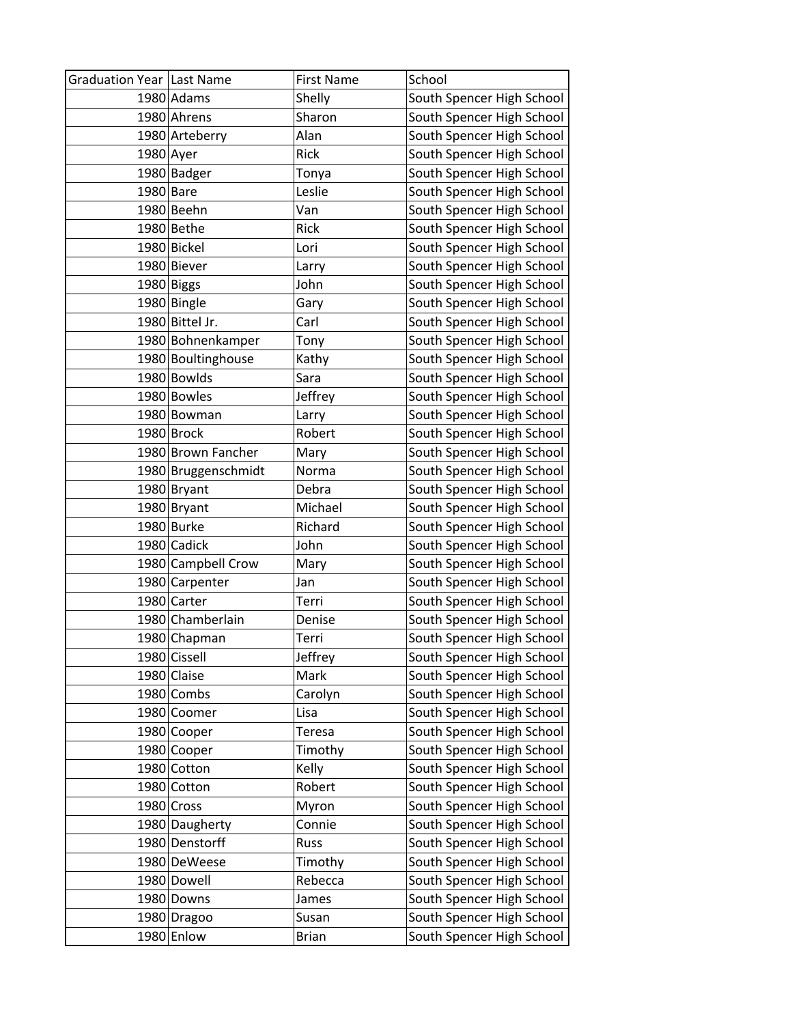| Graduation Year Last Name |                     | <b>First Name</b> | School                    |
|---------------------------|---------------------|-------------------|---------------------------|
|                           | 1980 Adams          | Shelly            | South Spencer High School |
|                           | 1980 Ahrens         | Sharon            | South Spencer High School |
|                           | 1980 Arteberry      | Alan              | South Spencer High School |
| 1980 Ayer                 |                     | Rick              | South Spencer High School |
|                           | 1980 Badger         | Tonya             | South Spencer High School |
| 1980 Bare                 |                     | Leslie            | South Spencer High School |
|                           | 1980 Beehn          | Van               | South Spencer High School |
|                           | 1980 Bethe          | Rick              | South Spencer High School |
|                           | 1980 Bickel         | Lori              | South Spencer High School |
|                           | 1980 Biever         | Larry             | South Spencer High School |
|                           | 1980 Biggs          | John              | South Spencer High School |
|                           | 1980 Bingle         | Gary              | South Spencer High School |
|                           | 1980 Bittel Jr.     | Carl              | South Spencer High School |
|                           | 1980 Bohnenkamper   | Tony              | South Spencer High School |
|                           | 1980 Boultinghouse  | Kathy             | South Spencer High School |
|                           | 1980 Bowlds         | Sara              | South Spencer High School |
|                           | 1980 Bowles         | Jeffrey           | South Spencer High School |
|                           | 1980 Bowman         | Larry             | South Spencer High School |
|                           | 1980 Brock          | Robert            | South Spencer High School |
|                           | 1980 Brown Fancher  | Mary              | South Spencer High School |
|                           | 1980 Bruggenschmidt | Norma             | South Spencer High School |
|                           | 1980 Bryant         | Debra             | South Spencer High School |
|                           | 1980 Bryant         | Michael           | South Spencer High School |
|                           | 1980 Burke          | Richard           | South Spencer High School |
|                           | 1980 Cadick         | John              | South Spencer High School |
|                           | 1980 Campbell Crow  | Mary              | South Spencer High School |
|                           | 1980 Carpenter      | Jan               | South Spencer High School |
|                           | 1980 Carter         | Terri             | South Spencer High School |
|                           | 1980 Chamberlain    | Denise            | South Spencer High School |
|                           | 1980 Chapman        | Terri             | South Spencer High School |
|                           | 1980 Cissell        | Jeffrey           | South Spencer High School |
|                           | 1980 Claise         | Mark              | South Spencer High School |
|                           | 1980 Combs          | Carolyn           | South Spencer High School |
|                           | 1980 Coomer         | Lisa              | South Spencer High School |
|                           | 1980 Cooper         | <b>Teresa</b>     | South Spencer High School |
|                           | 1980 Cooper         | Timothy           | South Spencer High School |
|                           | 1980 Cotton         | Kelly             | South Spencer High School |
|                           | 1980 Cotton         | Robert            | South Spencer High School |
|                           | 1980 Cross          | Myron             | South Spencer High School |
|                           | 1980 Daugherty      | Connie            | South Spencer High School |
|                           | 1980 Denstorff      | Russ              | South Spencer High School |
|                           | 1980 DeWeese        | Timothy           | South Spencer High School |
|                           | 1980 Dowell         | Rebecca           | South Spencer High School |
|                           | 1980 Downs          | James             | South Spencer High School |
|                           | 1980 Dragoo         | Susan             | South Spencer High School |
|                           | 1980 Enlow          | <b>Brian</b>      | South Spencer High School |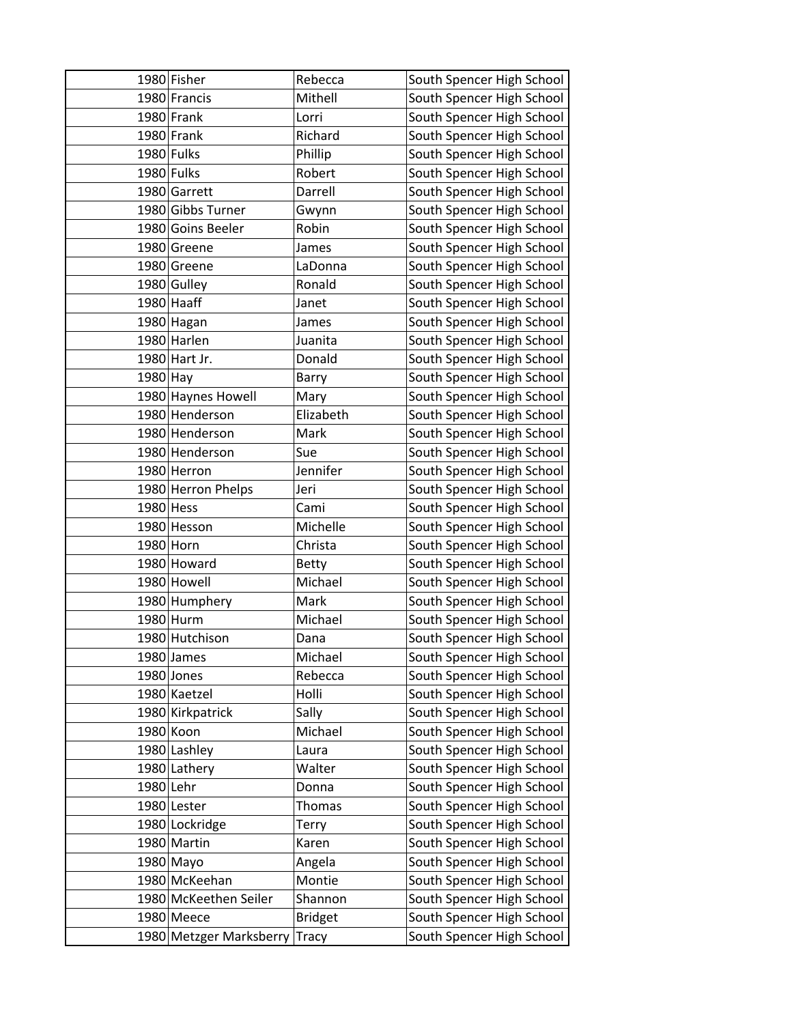|           | 1980 Fisher             | Rebecca        | South Spencer High School |
|-----------|-------------------------|----------------|---------------------------|
|           | 1980 Francis            | Mithell        | South Spencer High School |
|           | 1980 Frank              | Lorri          | South Spencer High School |
|           | 1980 Frank              | Richard        | South Spencer High School |
|           | 1980 Fulks              | Phillip        | South Spencer High School |
|           | 1980 Fulks              | Robert         | South Spencer High School |
|           | 1980 Garrett            | Darrell        | South Spencer High School |
|           | 1980 Gibbs Turner       | Gwynn          | South Spencer High School |
|           | 1980 Goins Beeler       | Robin          | South Spencer High School |
|           | 1980 Greene             | James          | South Spencer High School |
|           | 1980 Greene             | LaDonna        | South Spencer High School |
|           | 1980 Gulley             | Ronald         | South Spencer High School |
|           | 1980 Haaff              | Janet          | South Spencer High School |
|           | 1980 Hagan              | James          | South Spencer High School |
|           | 1980 Harlen             | Juanita        | South Spencer High School |
|           | 1980 Hart Jr.           | Donald         | South Spencer High School |
| 1980 Hay  |                         | Barry          | South Spencer High School |
|           | 1980 Haynes Howell      | Mary           | South Spencer High School |
|           | 1980 Henderson          | Elizabeth      | South Spencer High School |
|           | 1980 Henderson          | Mark           | South Spencer High School |
|           | 1980 Henderson          | Sue            | South Spencer High School |
|           | 1980 Herron             | Jennifer       | South Spencer High School |
|           | 1980 Herron Phelps      | Jeri           | South Spencer High School |
| 1980 Hess |                         | Cami           | South Spencer High School |
|           | 1980 Hesson             | Michelle       | South Spencer High School |
| 1980 Horn |                         | Christa        | South Spencer High School |
|           | 1980 Howard             | <b>Betty</b>   | South Spencer High School |
|           | 1980 Howell             | Michael        | South Spencer High School |
|           | 1980 Humphery           | Mark           | South Spencer High School |
|           | 1980 Hurm               | Michael        | South Spencer High School |
|           | 1980 Hutchison          | Dana           | South Spencer High School |
|           | 1980 James              | Michael        | South Spencer High School |
|           | 1980 Jones              | Rebecca        | South Spencer High School |
|           | 1980 Kaetzel            | Holli          | South Spencer High School |
|           | 1980 Kirkpatrick        | Sally          | South Spencer High School |
|           | 1980 Koon               | Michael        | South Spencer High School |
|           | 1980 Lashley            | Laura          | South Spencer High School |
|           | 1980 Lathery            | Walter         | South Spencer High School |
| 1980 Lehr |                         | Donna          | South Spencer High School |
|           | 1980 Lester             | <b>Thomas</b>  | South Spencer High School |
|           | 1980 Lockridge          | Terry          | South Spencer High School |
|           | 1980 Martin             | Karen          | South Spencer High School |
|           | 1980 Mayo               | Angela         | South Spencer High School |
|           | 1980 McKeehan           | Montie         | South Spencer High School |
|           | 1980 McKeethen Seiler   | Shannon        | South Spencer High School |
|           | 1980 Meece              | <b>Bridget</b> | South Spencer High School |
|           | 1980 Metzger Marksberry | <b>Tracy</b>   | South Spencer High School |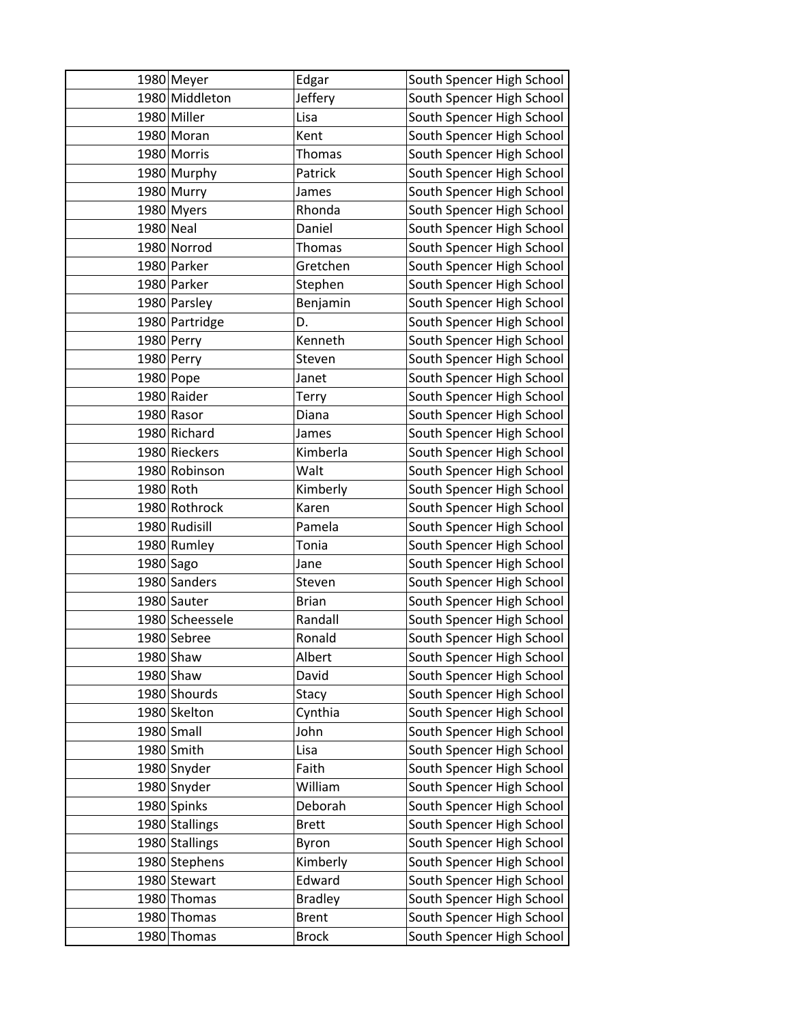|             | 1980 Meyer      | Edgar          | South Spencer High School |
|-------------|-----------------|----------------|---------------------------|
|             | 1980 Middleton  | Jeffery        | South Spencer High School |
|             | 1980 Miller     | Lisa           | South Spencer High School |
|             | 1980 Moran      | Kent           | South Spencer High School |
|             | 1980 Morris     | Thomas         | South Spencer High School |
|             | 1980 Murphy     | Patrick        | South Spencer High School |
|             | 1980 Murry      | James          | South Spencer High School |
|             | 1980 Myers      | Rhonda         | South Spencer High School |
| 1980 Neal   |                 | Daniel         | South Spencer High School |
|             | 1980 Norrod     | Thomas         | South Spencer High School |
|             | 1980 Parker     | Gretchen       | South Spencer High School |
|             | 1980 Parker     | Stephen        | South Spencer High School |
|             | 1980 Parsley    | Benjamin       | South Spencer High School |
|             | 1980 Partridge  | D.             | South Spencer High School |
|             | 1980 Perry      | Kenneth        | South Spencer High School |
|             | 1980 Perry      | Steven         | South Spencer High School |
|             | 1980 Pope       | Janet          | South Spencer High School |
|             | 1980 Raider     | Terry          | South Spencer High School |
|             | 1980 Rasor      | Diana          | South Spencer High School |
|             | 1980 Richard    | James          | South Spencer High School |
|             | 1980 Rieckers   | Kimberla       | South Spencer High School |
|             | 1980 Robinson   | Walt           | South Spencer High School |
| 1980 Roth   |                 | Kimberly       | South Spencer High School |
|             | 1980 Rothrock   | Karen          | South Spencer High School |
|             | 1980 Rudisill   | Pamela         | South Spencer High School |
|             | 1980 Rumley     | Tonia          | South Spencer High School |
| $1980$ Sago |                 | Jane           | South Spencer High School |
|             | 1980 Sanders    | Steven         | South Spencer High School |
|             | 1980 Sauter     | <b>Brian</b>   | South Spencer High School |
|             | 1980 Scheessele | Randall        | South Spencer High School |
|             | 1980 Sebree     | Ronald         | South Spencer High School |
|             | $1980$ Shaw     | Albert         | South Spencer High School |
|             | 1980 Shaw       | David          | South Spencer High School |
|             | 1980 Shourds    | Stacy          | South Spencer High School |
|             | 1980 Skelton    | Cynthia        | South Spencer High School |
|             | 1980 Small      | John           | South Spencer High School |
|             | 1980 Smith      | Lisa           | South Spencer High School |
|             | 1980 Snyder     | Faith          | South Spencer High School |
|             | 1980 Snyder     | William        | South Spencer High School |
|             | 1980 Spinks     | Deborah        | South Spencer High School |
|             | 1980 Stallings  | <b>Brett</b>   | South Spencer High School |
|             | 1980 Stallings  | Byron          | South Spencer High School |
|             | 1980 Stephens   | Kimberly       | South Spencer High School |
|             | 1980 Stewart    | Edward         | South Spencer High School |
|             | 1980 Thomas     | <b>Bradley</b> | South Spencer High School |
|             | 1980 Thomas     | <b>Brent</b>   | South Spencer High School |
|             | 1980 Thomas     | <b>Brock</b>   | South Spencer High School |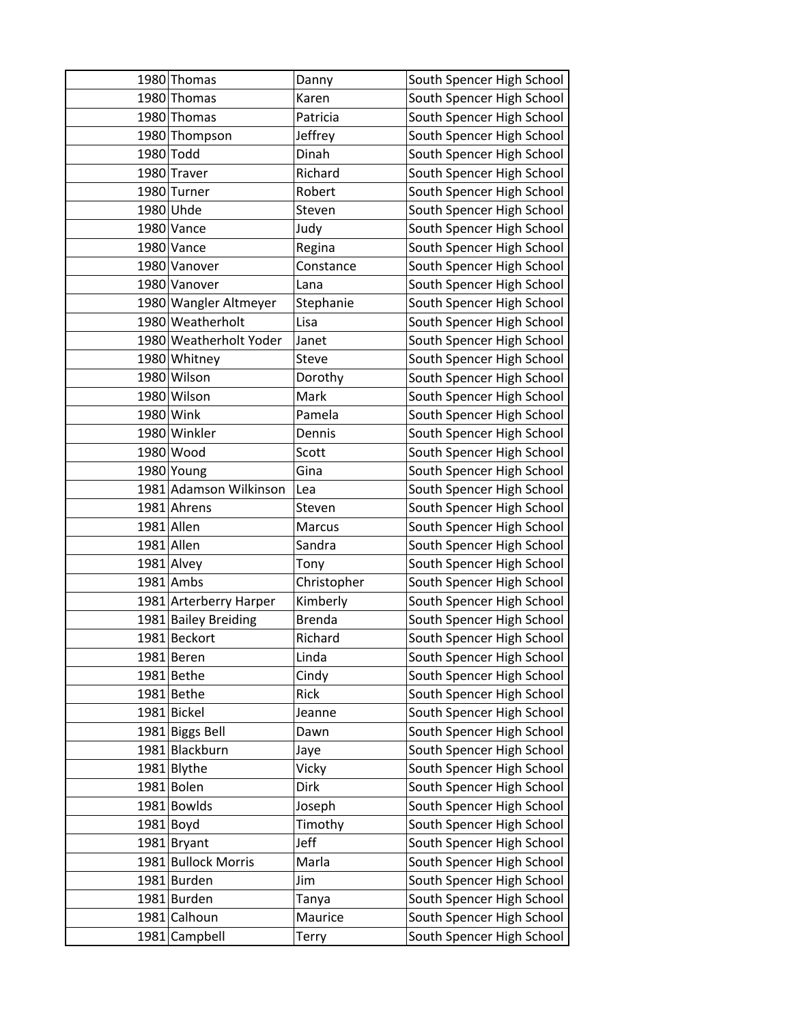| 1980 Thomas            | Danny         | South Spencer High School |
|------------------------|---------------|---------------------------|
| 1980 Thomas            | Karen         | South Spencer High School |
| 1980 Thomas            | Patricia      | South Spencer High School |
| 1980 Thompson          | Jeffrey       | South Spencer High School |
| 1980 Todd              | Dinah         | South Spencer High School |
| 1980 Traver            | Richard       | South Spencer High School |
| 1980 Turner            | Robert        | South Spencer High School |
| 1980 Uhde              | Steven        | South Spencer High School |
| 1980 Vance             | Judy          | South Spencer High School |
| 1980 Vance             | Regina        | South Spencer High School |
| 1980 Vanover           | Constance     | South Spencer High School |
| 1980 Vanover           | Lana          | South Spencer High School |
| 1980 Wangler Altmeyer  | Stephanie     | South Spencer High School |
| 1980 Weatherholt       | Lisa          | South Spencer High School |
| 1980 Weatherholt Yoder | Janet         | South Spencer High School |
| 1980 Whitney           | Steve         | South Spencer High School |
| 1980 Wilson            | Dorothy       | South Spencer High School |
| 1980 Wilson            | Mark          | South Spencer High School |
| 1980 Wink              | Pamela        | South Spencer High School |
| 1980 Winkler           | Dennis        | South Spencer High School |
| 1980 Wood              | Scott         | South Spencer High School |
| 1980 Young             | Gina          | South Spencer High School |
| 1981 Adamson Wilkinson | Lea           | South Spencer High School |
| 1981 Ahrens            | Steven        | South Spencer High School |
| 1981 Allen             | Marcus        | South Spencer High School |
| 1981 Allen             | Sandra        | South Spencer High School |
| 1981 Alvey             | Tony          | South Spencer High School |
| 1981 Ambs              | Christopher   | South Spencer High School |
| 1981 Arterberry Harper | Kimberly      | South Spencer High School |
| 1981 Bailey Breiding   | <b>Brenda</b> | South Spencer High School |
| 1981 Beckort           | Richard       | South Spencer High School |
| 1981 Beren             | Linda         | South Spencer High School |
| 1981 Bethe             | Cindy         | South Spencer High School |
| 1981 Bethe             | Rick          | South Spencer High School |
| 1981 Bickel            | Jeanne        | South Spencer High School |
| 1981 Biggs Bell        | Dawn          | South Spencer High School |
| 1981 Blackburn         | Jaye          | South Spencer High School |
| 1981 Blythe            | Vicky         | South Spencer High School |
| 1981 Bolen             | <b>Dirk</b>   | South Spencer High School |
| 1981 Bowlds            | Joseph        | South Spencer High School |
| $1981$ Boyd            | Timothy       | South Spencer High School |
| 1981 Bryant            | Jeff          | South Spencer High School |
| 1981 Bullock Morris    | Marla         | South Spencer High School |
| 1981 Burden            | Jim           | South Spencer High School |
| 1981 Burden            | Tanya         | South Spencer High School |
| 1981 Calhoun           | Maurice       | South Spencer High School |
| 1981 Campbell          | Terry         | South Spencer High School |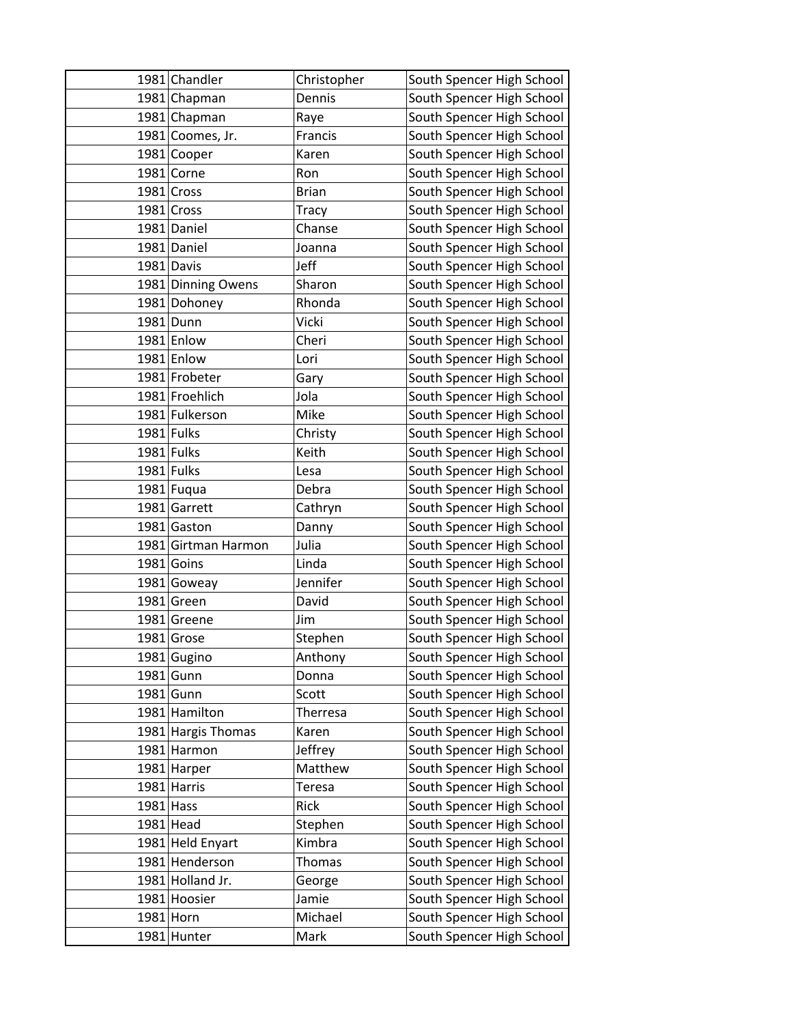|             | 1981 Chandler       | Christopher   | South Spencer High School |
|-------------|---------------------|---------------|---------------------------|
|             | 1981 Chapman        | Dennis        | South Spencer High School |
|             | 1981 Chapman        | Raye          | South Spencer High School |
|             | 1981 Coomes, Jr.    | Francis       | South Spencer High School |
|             | 1981 Cooper         | Karen         | South Spencer High School |
|             | 1981 Corne          | Ron           | South Spencer High School |
|             | 1981 Cross          | <b>Brian</b>  | South Spencer High School |
|             | 1981 Cross          | Tracy         | South Spencer High School |
|             | 1981 Daniel         | Chanse        | South Spencer High School |
|             | 1981 Daniel         | Joanna        | South Spencer High School |
|             | 1981 Davis          | Jeff          | South Spencer High School |
|             | 1981 Dinning Owens  | Sharon        | South Spencer High School |
|             | 1981 Dohoney        | Rhonda        | South Spencer High School |
|             | 1981 Dunn           | Vicki         | South Spencer High School |
|             | 1981 Enlow          | Cheri         | South Spencer High School |
|             | 1981 Enlow          | Lori          | South Spencer High School |
|             | 1981 Frobeter       | Gary          | South Spencer High School |
|             | 1981 Froehlich      | Jola          | South Spencer High School |
|             | 1981 Fulkerson      | Mike          | South Spencer High School |
|             | 1981 Fulks          | Christy       | South Spencer High School |
|             | 1981 Fulks          | Keith         | South Spencer High School |
|             | 1981 Fulks          | Lesa          | South Spencer High School |
|             | 1981 Fuqua          | Debra         | South Spencer High School |
|             | 1981 Garrett        | Cathryn       | South Spencer High School |
|             | 1981 Gaston         | Danny         | South Spencer High School |
|             | 1981 Girtman Harmon | Julia         | South Spencer High School |
|             | $1981$ Goins        | Linda         | South Spencer High School |
|             | 1981 Goweay         | Jennifer      | South Spencer High School |
|             | 1981 Green          | David         | South Spencer High School |
|             | 1981 Greene         | Jim           | South Spencer High School |
|             | 1981 Grose          | Stephen       | South Spencer High School |
|             | 1981 Gugino         | Anthony       | South Spencer High School |
|             | $1981$ Gunn         | Donna         | South Spencer High School |
|             | 1981 Gunn           | Scott         | South Spencer High School |
|             | 1981 Hamilton       | Therresa      | South Spencer High School |
|             | 1981 Hargis Thomas  | Karen         | South Spencer High School |
|             | 1981 Harmon         | Jeffrey       | South Spencer High School |
|             | 1981 Harper         | Matthew       | South Spencer High School |
|             | 1981 Harris         | <b>Teresa</b> | South Spencer High School |
| $1981$ Hass |                     | Rick          | South Spencer High School |
|             | 1981 Head           | Stephen       | South Spencer High School |
|             | 1981 Held Enyart    | Kimbra        | South Spencer High School |
|             | 1981 Henderson      | <b>Thomas</b> | South Spencer High School |
|             | 1981 Holland Jr.    | George        | South Spencer High School |
|             | 1981 Hoosier        | Jamie         | South Spencer High School |
|             | 1981 Horn           | Michael       | South Spencer High School |
|             | 1981 Hunter         | Mark          | South Spencer High School |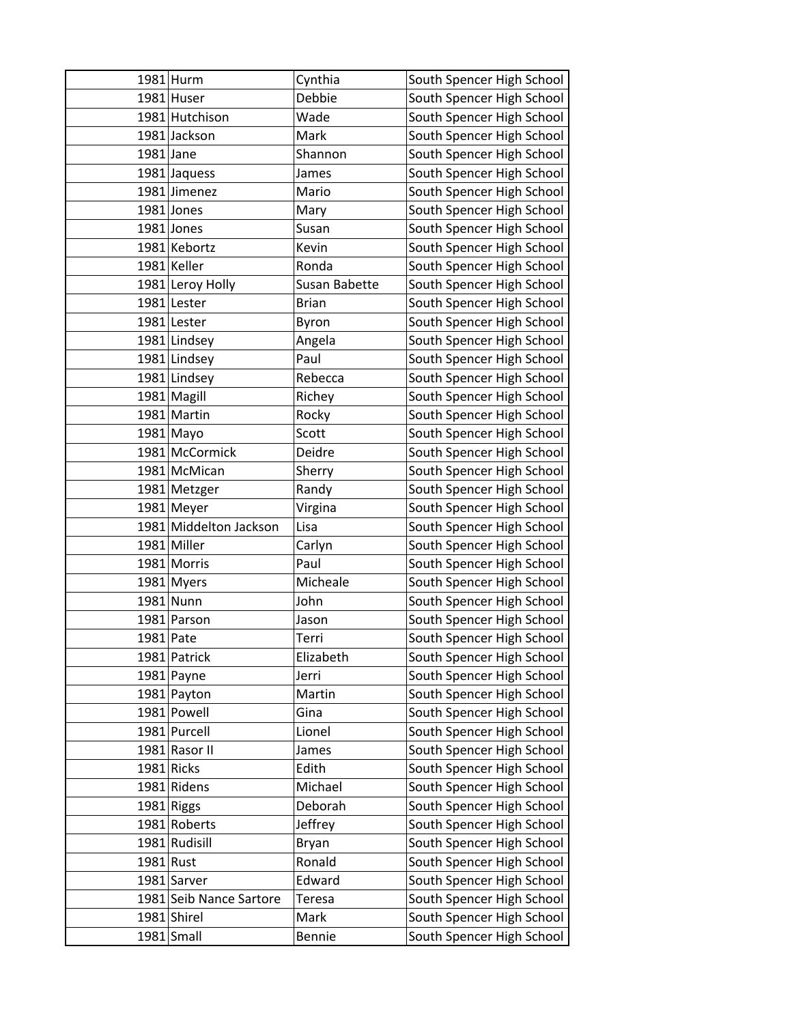|           | 1981 Hurm               | Cynthia       | South Spencer High School |
|-----------|-------------------------|---------------|---------------------------|
|           | 1981 Huser              | Debbie        | South Spencer High School |
|           | 1981 Hutchison          | Wade          | South Spencer High School |
|           | 1981 Jackson            | Mark          | South Spencer High School |
| 1981 Jane |                         | Shannon       | South Spencer High School |
|           | 1981 Jaquess            | James         | South Spencer High School |
|           | 1981 Jimenez            | Mario         | South Spencer High School |
|           | 1981 Jones              | Mary          | South Spencer High School |
|           | 1981 Jones              | Susan         | South Spencer High School |
|           | 1981 Kebortz            | Kevin         | South Spencer High School |
|           | 1981 Keller             | Ronda         | South Spencer High School |
|           | 1981 Leroy Holly        | Susan Babette | South Spencer High School |
|           | 1981 Lester             | <b>Brian</b>  | South Spencer High School |
|           | 1981 Lester             | Byron         | South Spencer High School |
|           | 1981 Lindsey            | Angela        | South Spencer High School |
|           | 1981 Lindsey            | Paul          | South Spencer High School |
|           | 1981 Lindsey            | Rebecca       | South Spencer High School |
|           | 1981 Magill             | Richey        | South Spencer High School |
|           | 1981 Martin             | Rocky         | South Spencer High School |
|           | 1981 Mayo               | Scott         | South Spencer High School |
|           | 1981 McCormick          | Deidre        | South Spencer High School |
|           | 1981 McMican            | Sherry        | South Spencer High School |
|           | 1981 Metzger            | Randy         | South Spencer High School |
|           | 1981 Meyer              | Virgina       | South Spencer High School |
|           | 1981 Middelton Jackson  | Lisa          | South Spencer High School |
|           | 1981 Miller             | Carlyn        | South Spencer High School |
|           | 1981 Morris             | Paul          | South Spencer High School |
|           | 1981 Myers              | Micheale      | South Spencer High School |
|           | 1981 Nunn               | John          | South Spencer High School |
|           | 1981 Parson             | Jason         | South Spencer High School |
| 1981 Pate |                         | Terri         | South Spencer High School |
|           | 1981 Patrick            | Elizabeth     | South Spencer High School |
|           | 1981 Payne              | Jerri         | South Spencer High School |
|           | 1981 Payton             | Martin        | South Spencer High School |
|           | 1981 Powell             | Gina          | South Spencer High School |
|           | 1981 Purcell            | Lionel        | South Spencer High School |
|           | 1981 Rasor II           | James         | South Spencer High School |
|           | 1981 Ricks              | Edith         | South Spencer High School |
|           | 1981 Ridens             | Michael       | South Spencer High School |
|           | 1981 Riggs              | Deborah       | South Spencer High School |
|           | 1981 Roberts            | Jeffrey       | South Spencer High School |
|           | 1981 Rudisill           | Bryan         | South Spencer High School |
| 1981 Rust |                         | Ronald        | South Spencer High School |
|           | 1981 Sarver             | Edward        | South Spencer High School |
|           | 1981 Seib Nance Sartore | Teresa        | South Spencer High School |
|           | 1981 Shirel             | Mark          | South Spencer High School |
|           | $1981$ Small            | Bennie        | South Spencer High School |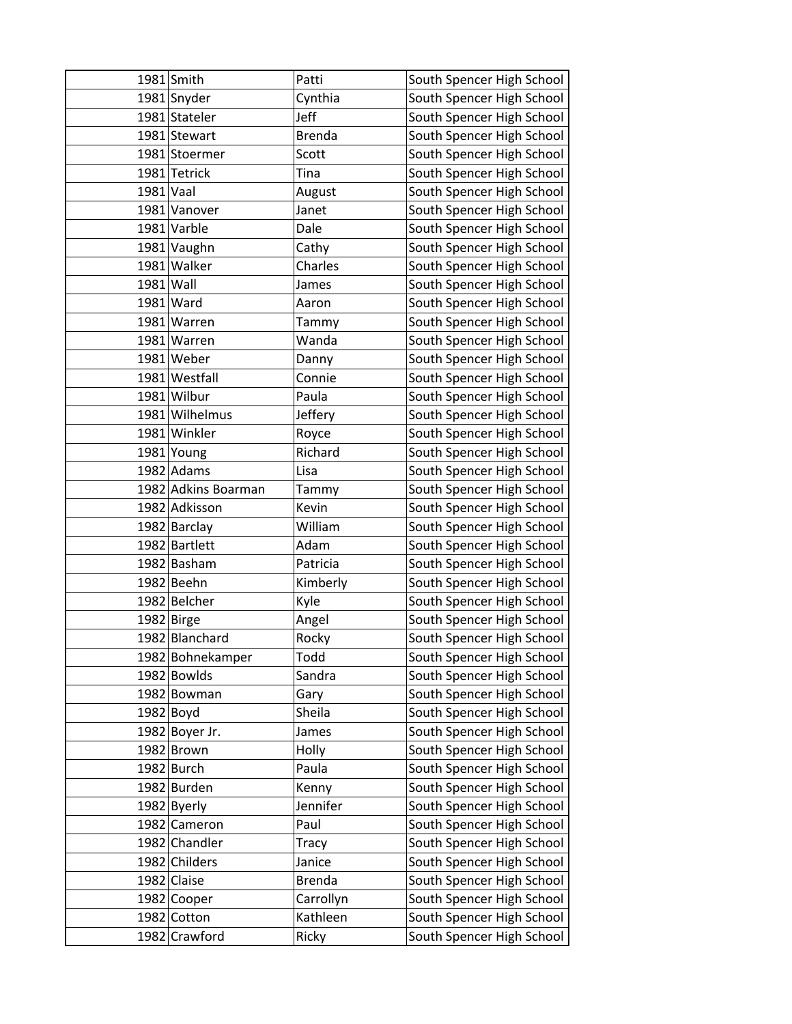|           | 1981 Smith          | Patti         | South Spencer High School |
|-----------|---------------------|---------------|---------------------------|
|           | 1981 Snyder         | Cynthia       | South Spencer High School |
|           | 1981 Stateler       | Jeff          | South Spencer High School |
|           | 1981 Stewart        | <b>Brenda</b> | South Spencer High School |
|           | 1981 Stoermer       | Scott         | South Spencer High School |
|           | 1981 Tetrick        | Tina          | South Spencer High School |
| 1981 Vaal |                     | August        | South Spencer High School |
|           | 1981 Vanover        | Janet         | South Spencer High School |
|           | 1981 Varble         | Dale          | South Spencer High School |
|           | 1981 Vaughn         | Cathy         | South Spencer High School |
|           | 1981 Walker         | Charles       | South Spencer High School |
| 1981 Wall |                     | James         | South Spencer High School |
|           | 1981 Ward           | Aaron         | South Spencer High School |
|           | 1981 Warren         | Tammy         | South Spencer High School |
|           | 1981 Warren         | Wanda         | South Spencer High School |
|           | 1981 Weber          | Danny         | South Spencer High School |
|           | 1981 Westfall       | Connie        | South Spencer High School |
|           | 1981 Wilbur         | Paula         | South Spencer High School |
|           | 1981 Wilhelmus      | Jeffery       | South Spencer High School |
|           | 1981 Winkler        | Royce         | South Spencer High School |
|           | 1981 Young          | Richard       | South Spencer High School |
|           | 1982 Adams          | Lisa          | South Spencer High School |
|           | 1982 Adkins Boarman | Tammy         | South Spencer High School |
|           | 1982 Adkisson       | Kevin         | South Spencer High School |
|           | 1982 Barclay        | William       | South Spencer High School |
|           | 1982 Bartlett       | Adam          | South Spencer High School |
|           | 1982 Basham         | Patricia      | South Spencer High School |
|           | 1982 Beehn          | Kimberly      | South Spencer High School |
|           | 1982 Belcher        | Kyle          | South Spencer High School |
|           | 1982 Birge          | Angel         | South Spencer High School |
|           | 1982 Blanchard      | Rocky         | South Spencer High School |
|           | 1982 Bohnekamper    | Todd          | South Spencer High School |
|           | 1982 Bowlds         | Sandra        | South Spencer High School |
|           | 1982 Bowman         | Gary          | South Spencer High School |
|           | $1982$ Boyd         | Sheila        | South Spencer High School |
|           | 1982 Boyer Jr.      | James         | South Spencer High School |
|           | 1982 Brown          | Holly         | South Spencer High School |
|           | 1982 Burch          | Paula         | South Spencer High School |
|           | 1982 Burden         | Kenny         | South Spencer High School |
|           | 1982 Byerly         | Jennifer      | South Spencer High School |
|           | 1982 Cameron        | Paul          | South Spencer High School |
|           | 1982 Chandler       | Tracy         | South Spencer High School |
|           | 1982 Childers       | Janice        | South Spencer High School |
|           | 1982 Claise         | Brenda        | South Spencer High School |
|           | 1982 Cooper         | Carrollyn     | South Spencer High School |
|           | 1982 Cotton         | Kathleen      | South Spencer High School |
|           | 1982 Crawford       | Ricky         | South Spencer High School |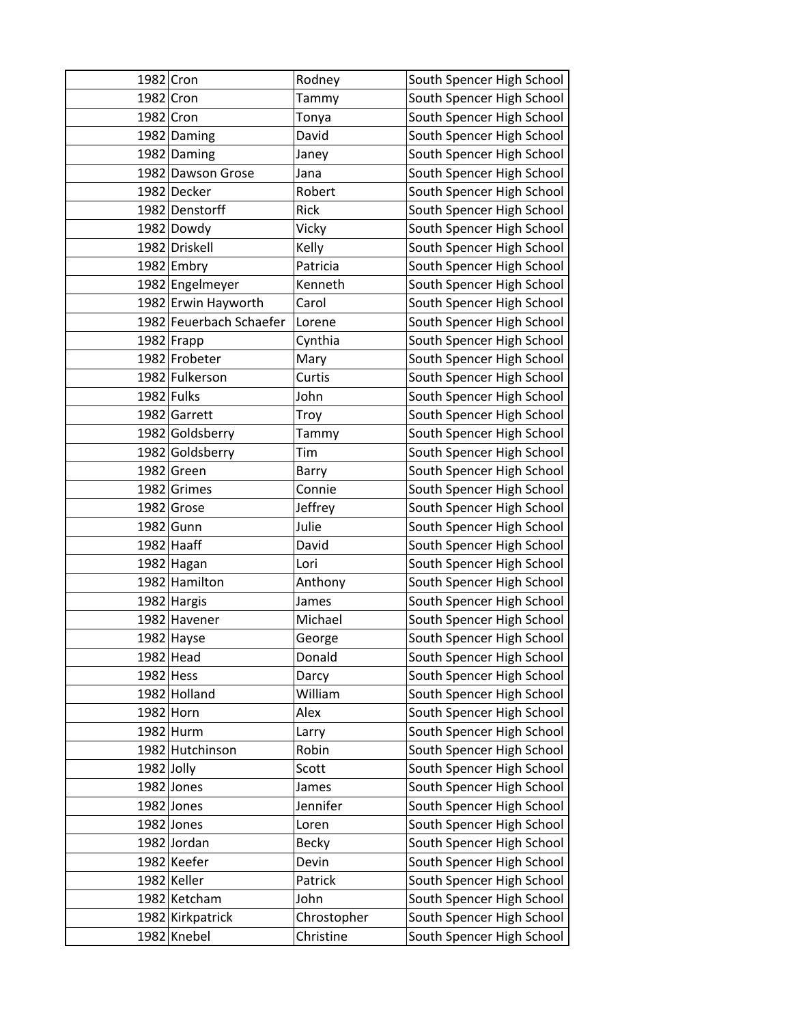| 1982 Cron   |                         | Rodney      | South Spencer High School |
|-------------|-------------------------|-------------|---------------------------|
| 1982 Cron   |                         | Tammy       | South Spencer High School |
| 1982 Cron   |                         | Tonya       | South Spencer High School |
|             | 1982 Daming             | David       | South Spencer High School |
|             | 1982 Daming             | Janey       | South Spencer High School |
|             | 1982 Dawson Grose       | Jana        | South Spencer High School |
|             | 1982 Decker             | Robert      | South Spencer High School |
|             | 1982 Denstorff          | Rick        | South Spencer High School |
|             | 1982 Dowdy              | Vicky       | South Spencer High School |
|             | 1982 Driskell           | Kelly       | South Spencer High School |
|             | 1982 Embry              | Patricia    | South Spencer High School |
|             | 1982 Engelmeyer         | Kenneth     | South Spencer High School |
|             | 1982 Erwin Hayworth     | Carol       | South Spencer High School |
|             | 1982 Feuerbach Schaefer | Lorene      | South Spencer High School |
|             | 1982 Frapp              | Cynthia     | South Spencer High School |
|             | 1982 Frobeter           | Mary        | South Spencer High School |
|             | 1982 Fulkerson          | Curtis      | South Spencer High School |
|             | 1982 Fulks              | John        | South Spencer High School |
|             | 1982 Garrett            | Troy        | South Spencer High School |
|             | 1982 Goldsberry         | Tammy       | South Spencer High School |
|             | 1982 Goldsberry         | Tim         | South Spencer High School |
|             | 1982 Green              | Barry       | South Spencer High School |
|             | 1982 Grimes             | Connie      | South Spencer High School |
|             | 1982 Grose              | Jeffrey     | South Spencer High School |
|             | 1982 Gunn               | Julie       | South Spencer High School |
|             | 1982 Haaff              | David       | South Spencer High School |
|             | 1982 Hagan              | Lori        | South Spencer High School |
|             | 1982 Hamilton           | Anthony     | South Spencer High School |
|             | 1982 Hargis             | James       | South Spencer High School |
|             | 1982 Havener            | Michael     | South Spencer High School |
|             | 1982 Hayse              | George      | South Spencer High School |
|             | 1982 Head               | Donald      | South Spencer High School |
| $1982$ Hess |                         | Darcy       | South Spencer High School |
|             | 1982 Holland            | William     | South Spencer High School |
|             | 1982 Horn               | Alex        | South Spencer High School |
|             | 1982 Hurm               | Larry       | South Spencer High School |
|             | 1982 Hutchinson         | Robin       | South Spencer High School |
| 1982 Jolly  |                         | Scott       | South Spencer High School |
|             | 1982 Jones              | James       | South Spencer High School |
|             | 1982 Jones              | Jennifer    | South Spencer High School |
|             | 1982 Jones              | Loren       | South Spencer High School |
|             | 1982 Jordan             | Becky       | South Spencer High School |
|             | 1982 Keefer             | Devin       | South Spencer High School |
|             | 1982 Keller             | Patrick     | South Spencer High School |
|             | 1982 Ketcham            | John        | South Spencer High School |
|             | 1982 Kirkpatrick        | Chrostopher | South Spencer High School |
|             | 1982 Knebel             | Christine   | South Spencer High School |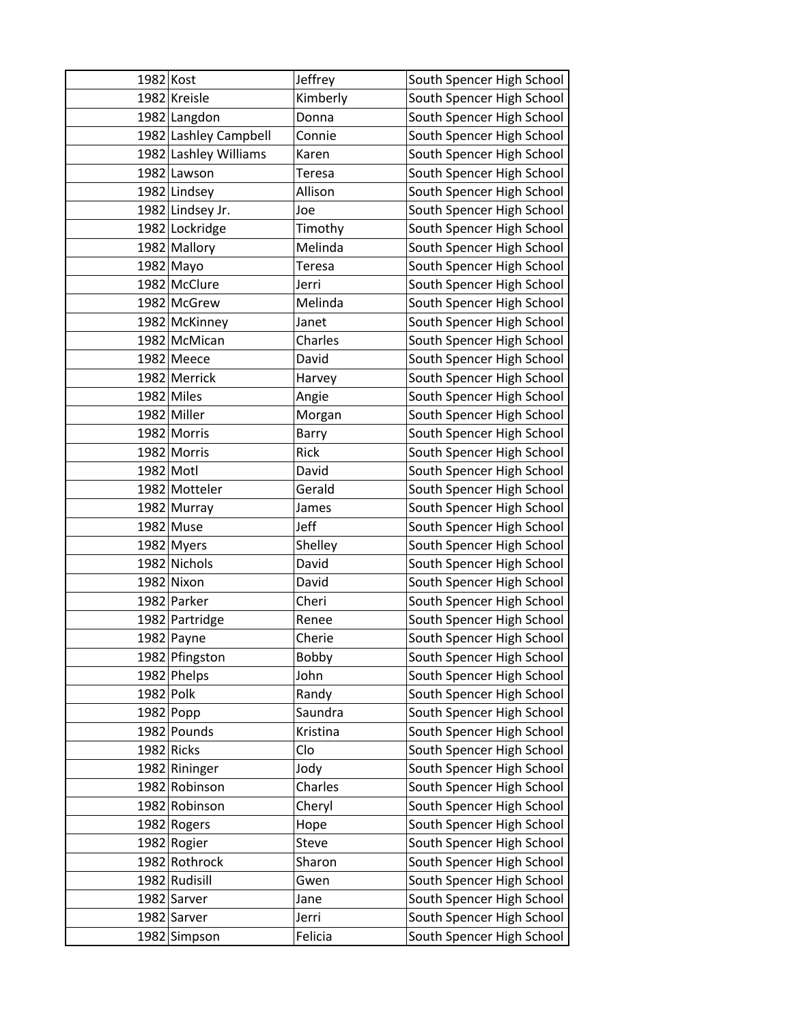| 1982 Kost  |                       | Jeffrey       | South Spencer High School |
|------------|-----------------------|---------------|---------------------------|
|            | 1982 Kreisle          | Kimberly      | South Spencer High School |
|            | 1982 Langdon          | Donna         | South Spencer High School |
|            | 1982 Lashley Campbell | Connie        | South Spencer High School |
|            | 1982 Lashley Williams | Karen         | South Spencer High School |
|            | 1982 Lawson           | Teresa        | South Spencer High School |
|            | 1982 Lindsey          | Allison       | South Spencer High School |
|            | 1982 Lindsey Jr.      | Joe           | South Spencer High School |
|            | 1982 Lockridge        | Timothy       | South Spencer High School |
|            | 1982 Mallory          | Melinda       | South Spencer High School |
|            | 1982 Mayo             | <b>Teresa</b> | South Spencer High School |
|            | 1982 McClure          | Jerri         | South Spencer High School |
|            | 1982 McGrew           | Melinda       | South Spencer High School |
|            | 1982 McKinney         | Janet         | South Spencer High School |
|            | 1982 McMican          | Charles       | South Spencer High School |
|            | 1982 Meece            | David         | South Spencer High School |
|            | 1982 Merrick          | Harvey        | South Spencer High School |
|            | 1982 Miles            | Angie         | South Spencer High School |
|            | 1982 Miller           | Morgan        | South Spencer High School |
|            | 1982 Morris           | Barry         | South Spencer High School |
|            | 1982 Morris           | <b>Rick</b>   | South Spencer High School |
| 1982 Motl  |                       | David         | South Spencer High School |
|            | 1982 Motteler         | Gerald        | South Spencer High School |
|            | 1982 Murray           | James         | South Spencer High School |
|            | 1982 Muse             | Jeff          | South Spencer High School |
|            | 1982 Myers            | Shelley       | South Spencer High School |
|            | 1982 Nichols          | David         | South Spencer High School |
|            | 1982 Nixon            | David         | South Spencer High School |
|            | 1982 Parker           | Cheri         | South Spencer High School |
|            | 1982 Partridge        | Renee         | South Spencer High School |
|            | 1982 Payne            | Cherie        | South Spencer High School |
|            | 1982 Pfingston        | Bobby         | South Spencer High School |
|            | 1982 Phelps           | John          | South Spencer High School |
| 1982 Polk  |                       | Randy         | South Spencer High School |
|            | $1982$ Popp           | Saundra       | South Spencer High School |
|            | 1982 Pounds           | Kristina      | South Spencer High School |
| 1982 Ricks |                       | Clo           | South Spencer High School |
|            | 1982 Rininger         | Jody          | South Spencer High School |
|            | 1982 Robinson         | Charles       | South Spencer High School |
|            | 1982 Robinson         | Cheryl        | South Spencer High School |
|            | 1982 Rogers           | Hope          | South Spencer High School |
|            | 1982 Rogier           | Steve         | South Spencer High School |
|            | 1982 Rothrock         | Sharon        | South Spencer High School |
|            | 1982 Rudisill         | Gwen          | South Spencer High School |
|            | 1982 Sarver           | Jane          | South Spencer High School |
|            | 1982 Sarver           | Jerri         | South Spencer High School |
|            | 1982 Simpson          | Felicia       | South Spencer High School |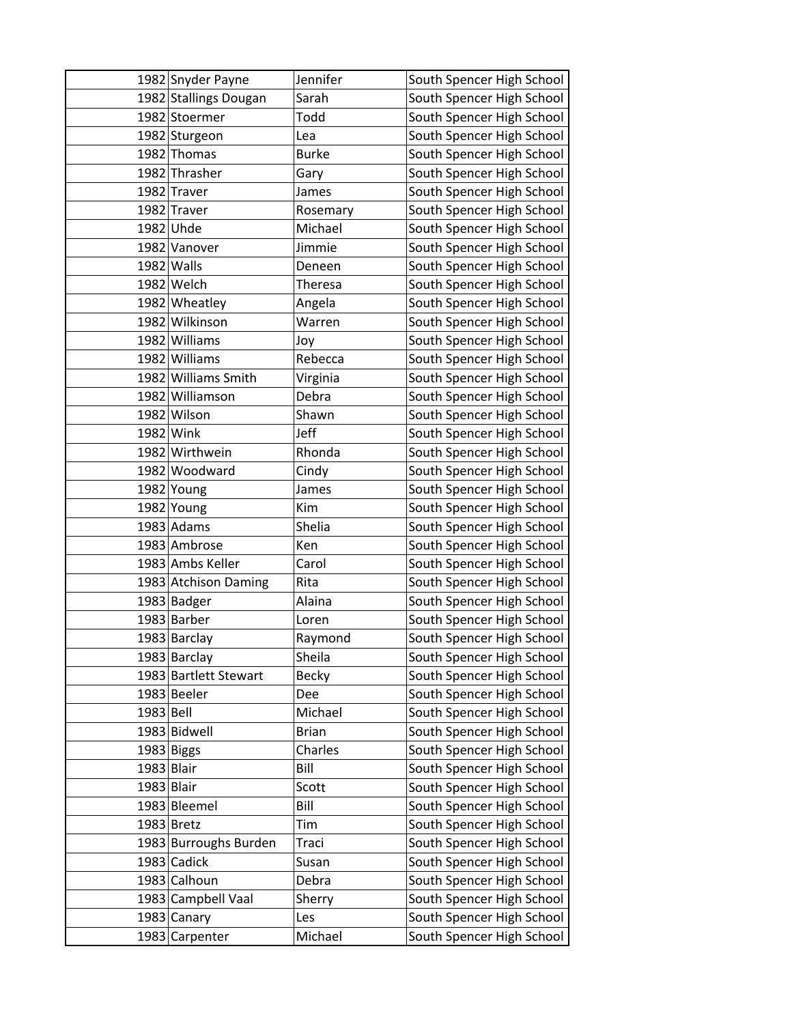|            | 1982 Snyder Payne     | Jennifer       | South Spencer High School |
|------------|-----------------------|----------------|---------------------------|
|            | 1982 Stallings Dougan | Sarah          | South Spencer High School |
|            | 1982 Stoermer         | Todd           | South Spencer High School |
|            | 1982 Sturgeon         | Lea            | South Spencer High School |
|            | 1982 Thomas           | <b>Burke</b>   | South Spencer High School |
|            | 1982 Thrasher         | Gary           | South Spencer High School |
|            | 1982 Traver           | James          | South Spencer High School |
|            | 1982 Traver           | Rosemary       | South Spencer High School |
|            | 1982 Uhde             | Michael        | South Spencer High School |
|            | 1982 Vanover          | Jimmie         | South Spencer High School |
|            | 1982 Walls            | Deneen         | South Spencer High School |
|            | 1982 Welch            | <b>Theresa</b> | South Spencer High School |
|            | 1982 Wheatley         | Angela         | South Spencer High School |
|            | 1982 Wilkinson        | Warren         | South Spencer High School |
|            | 1982 Williams         | Joy            | South Spencer High School |
|            | 1982 Williams         | Rebecca        | South Spencer High School |
|            | 1982 Williams Smith   | Virginia       | South Spencer High School |
|            | 1982 Williamson       | Debra          | South Spencer High School |
|            | 1982 Wilson           | Shawn          | South Spencer High School |
|            | 1982 Wink             | Jeff           | South Spencer High School |
|            | 1982 Wirthwein        | Rhonda         | South Spencer High School |
|            | 1982 Woodward         | Cindy          | South Spencer High School |
|            | 1982 Young            | James          | South Spencer High School |
|            | 1982 Young            | Kim            | South Spencer High School |
|            | 1983 Adams            | Shelia         | South Spencer High School |
|            | 1983 Ambrose          | Ken            | South Spencer High School |
|            | 1983 Ambs Keller      | Carol          | South Spencer High School |
|            | 1983 Atchison Daming  | Rita           | South Spencer High School |
|            | 1983 Badger           | Alaina         | South Spencer High School |
|            | 1983 Barber           | Loren          | South Spencer High School |
|            | 1983 Barclay          | Raymond        | South Spencer High School |
|            | 1983 Barclay          | Sheila         | South Spencer High School |
|            | 1983 Bartlett Stewart | <b>Becky</b>   | South Spencer High School |
|            | 1983 Beeler           | Dee            | South Spencer High School |
| 1983 Bell  |                       | Michael        | South Spencer High School |
|            | 1983 Bidwell          | <b>Brian</b>   | South Spencer High School |
|            | 1983 Biggs            | Charles        | South Spencer High School |
| 1983 Blair |                       | Bill           | South Spencer High School |
| 1983 Blair |                       | Scott          | South Spencer High School |
|            | 1983 Bleemel          | Bill           | South Spencer High School |
|            | 1983 Bretz            | Tim            | South Spencer High School |
|            | 1983 Burroughs Burden | Traci          | South Spencer High School |
|            | 1983 Cadick           | Susan          | South Spencer High School |
|            | 1983 Calhoun          | Debra          | South Spencer High School |
|            | 1983 Campbell Vaal    | Sherry         | South Spencer High School |
|            | 1983 Canary           | Les            | South Spencer High School |
|            | 1983 Carpenter        | Michael        | South Spencer High School |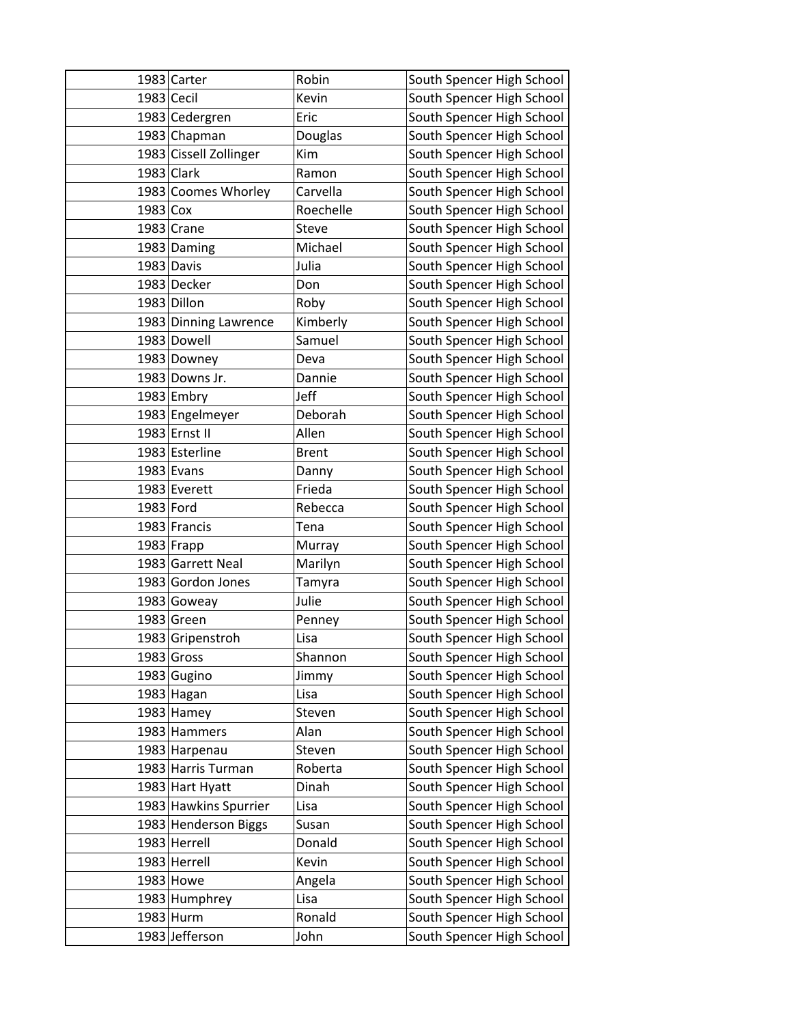|            | 1983 Carter            | Robin        | South Spencer High School |
|------------|------------------------|--------------|---------------------------|
| 1983 Cecil |                        | Kevin        | South Spencer High School |
|            | 1983 Cedergren         | Eric         | South Spencer High School |
|            | 1983 Chapman           | Douglas      | South Spencer High School |
|            | 1983 Cissell Zollinger | Kim          | South Spencer High School |
|            | 1983 Clark             | Ramon        | South Spencer High School |
|            | 1983 Coomes Whorley    | Carvella     | South Spencer High School |
| 1983 Cox   |                        | Roechelle    | South Spencer High School |
|            | 1983 Crane             | Steve        | South Spencer High School |
|            | 1983 Daming            | Michael      | South Spencer High School |
|            | 1983 Davis             | Julia        | South Spencer High School |
|            | 1983 Decker            | Don          | South Spencer High School |
|            | 1983 Dillon            | Roby         | South Spencer High School |
|            | 1983 Dinning Lawrence  | Kimberly     | South Spencer High School |
|            | 1983 Dowell            | Samuel       | South Spencer High School |
|            | 1983 Downey            | Deva         | South Spencer High School |
|            | 1983 Downs Jr.         | Dannie       | South Spencer High School |
|            | $1983$ Embry           | Jeff         | South Spencer High School |
|            | 1983 Engelmeyer        | Deborah      | South Spencer High School |
|            | 1983 Ernst II          | Allen        | South Spencer High School |
|            | 1983 Esterline         | <b>Brent</b> | South Spencer High School |
|            | $1983$ Evans           | Danny        | South Spencer High School |
|            | 1983 Everett           | Frieda       | South Spencer High School |
| 1983 Ford  |                        | Rebecca      | South Spencer High School |
|            | 1983 Francis           | Tena         | South Spencer High School |
|            | $1983$ Frapp           | Murray       | South Spencer High School |
|            | 1983 Garrett Neal      | Marilyn      | South Spencer High School |
|            | 1983 Gordon Jones      | Tamyra       | South Spencer High School |
|            | 1983 Goweay            | Julie        | South Spencer High School |
|            | 1983 Green             | Penney       | South Spencer High School |
|            | 1983 Gripenstroh       | Lisa         | South Spencer High School |
|            | $1983$ Gross           | Shannon      | South Spencer High School |
|            | 1983 Gugino            | Jimmy        | South Spencer High School |
|            | 1983 Hagan             | Lisa         | South Spencer High School |
|            | 1983 Hamey             | Steven       | South Spencer High School |
|            | 1983 Hammers           | Alan         | South Spencer High School |
|            | 1983 Harpenau          | Steven       | South Spencer High School |
|            | 1983 Harris Turman     | Roberta      | South Spencer High School |
|            | 1983 Hart Hyatt        | Dinah        | South Spencer High School |
|            | 1983 Hawkins Spurrier  | Lisa         | South Spencer High School |
|            | 1983 Henderson Biggs   | Susan        | South Spencer High School |
|            | 1983 Herrell           | Donald       | South Spencer High School |
|            | 1983 Herrell           | Kevin        | South Spencer High School |
|            | 1983 Howe              | Angela       | South Spencer High School |
|            | 1983 Humphrey          | Lisa         | South Spencer High School |
|            | 1983 Hurm              | Ronald       | South Spencer High School |
|            | 1983 Jefferson         | John         | South Spencer High School |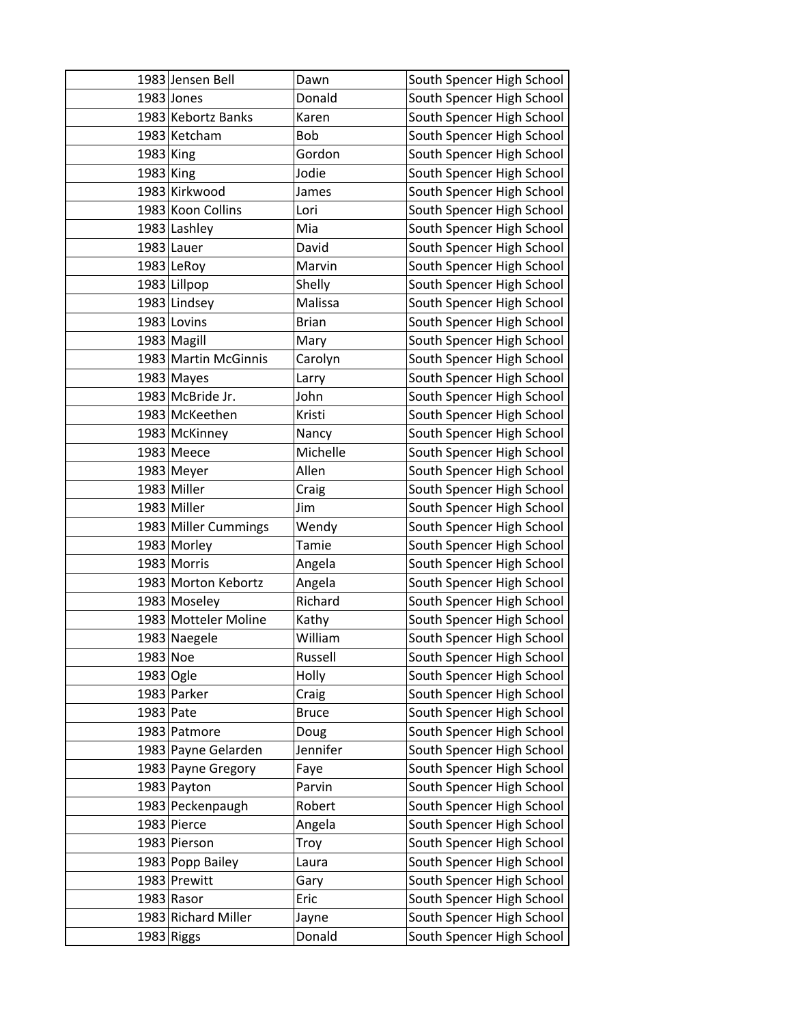|           | 1983 Jensen Bell     | Dawn         | South Spencer High School |
|-----------|----------------------|--------------|---------------------------|
|           | 1983 Jones           | Donald       | South Spencer High School |
|           | 1983 Kebortz Banks   | Karen        | South Spencer High School |
|           | 1983 Ketcham         | <b>Bob</b>   | South Spencer High School |
| 1983 King |                      | Gordon       | South Spencer High School |
| 1983 King |                      | Jodie        | South Spencer High School |
|           | 1983 Kirkwood        | James        | South Spencer High School |
|           | 1983 Koon Collins    | Lori         | South Spencer High School |
|           | 1983 Lashley         | Mia          | South Spencer High School |
|           | 1983 Lauer           | David        | South Spencer High School |
|           | 1983 LeRoy           | Marvin       | South Spencer High School |
|           | 1983 Lillpop         | Shelly       | South Spencer High School |
|           | 1983 Lindsey         | Malissa      | South Spencer High School |
|           | 1983 Lovins          | <b>Brian</b> | South Spencer High School |
|           | 1983 Magill          | Mary         | South Spencer High School |
|           | 1983 Martin McGinnis | Carolyn      | South Spencer High School |
|           | 1983 Mayes           | Larry        | South Spencer High School |
|           | 1983 McBride Jr.     | John         | South Spencer High School |
|           | 1983 McKeethen       | Kristi       | South Spencer High School |
|           | 1983 McKinney        | Nancy        | South Spencer High School |
|           | 1983 Meece           | Michelle     | South Spencer High School |
|           | 1983 Meyer           | Allen        | South Spencer High School |
|           | 1983 Miller          | Craig        | South Spencer High School |
|           | 1983 Miller          | Jim          | South Spencer High School |
|           | 1983 Miller Cummings | Wendy        | South Spencer High School |
|           | 1983 Morley          | Tamie        | South Spencer High School |
|           | 1983 Morris          | Angela       | South Spencer High School |
|           | 1983 Morton Kebortz  | Angela       | South Spencer High School |
|           | 1983 Moseley         | Richard      | South Spencer High School |
|           | 1983 Motteler Moline | Kathy        | South Spencer High School |
|           | 1983 Naegele         | William      | South Spencer High School |
| 1983 Noe  |                      | Russell      | South Spencer High School |
| 1983 Ogle |                      | Holly        | South Spencer High School |
|           | 1983 Parker          | Craig        | South Spencer High School |
| 1983 Pate |                      | <b>Bruce</b> | South Spencer High School |
|           | 1983 Patmore         | Doug         | South Spencer High School |
|           | 1983 Payne Gelarden  | Jennifer     | South Spencer High School |
|           | 1983 Payne Gregory   | Faye         | South Spencer High School |
|           | 1983 Payton          | Parvin       | South Spencer High School |
|           | 1983 Peckenpaugh     | Robert       | South Spencer High School |
|           | 1983 Pierce          | Angela       | South Spencer High School |
|           | 1983 Pierson         | Troy         | South Spencer High School |
|           | 1983 Popp Bailey     | Laura        | South Spencer High School |
|           | 1983 Prewitt         | Gary         | South Spencer High School |
|           | 1983 Rasor           | Eric         | South Spencer High School |
|           | 1983 Richard Miller  | Jayne        | South Spencer High School |
|           | 1983 Riggs           | Donald       | South Spencer High School |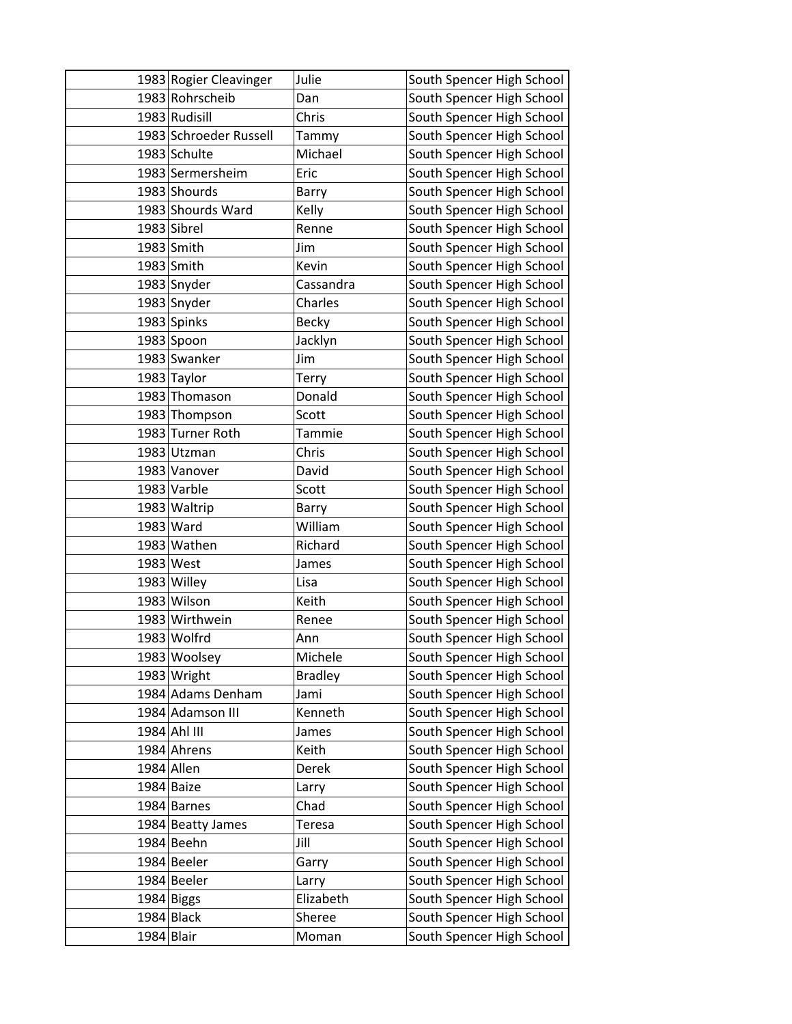|            | 1983 Rogier Cleavinger | Julie          | South Spencer High School |
|------------|------------------------|----------------|---------------------------|
|            | 1983 Rohrscheib        | Dan            | South Spencer High School |
|            | 1983 Rudisill          | Chris          | South Spencer High School |
|            | 1983 Schroeder Russell | Tammy          | South Spencer High School |
|            | 1983 Schulte           | Michael        | South Spencer High School |
|            | 1983 Sermersheim       | Eric           | South Spencer High School |
|            | 1983 Shourds           | Barry          | South Spencer High School |
|            | 1983 Shourds Ward      | Kelly          | South Spencer High School |
|            | 1983 Sibrel            | Renne          | South Spencer High School |
|            | 1983 Smith             | Jim            | South Spencer High School |
|            | 1983 Smith             | Kevin          | South Spencer High School |
|            | 1983 Snyder            | Cassandra      | South Spencer High School |
|            | 1983 Snyder            | Charles        | South Spencer High School |
|            | 1983 Spinks            | <b>Becky</b>   | South Spencer High School |
|            | 1983 Spoon             | Jacklyn        | South Spencer High School |
|            | 1983 Swanker           | Jim            | South Spencer High School |
|            | 1983 Taylor            | Terry          | South Spencer High School |
|            | 1983 Thomason          | Donald         | South Spencer High School |
|            | 1983 Thompson          | Scott          | South Spencer High School |
|            | 1983 Turner Roth       | Tammie         | South Spencer High School |
|            | 1983 Utzman            | Chris          | South Spencer High School |
|            | 1983 Vanover           | David          | South Spencer High School |
|            | 1983 Varble            | Scott          | South Spencer High School |
|            | 1983 Waltrip           | Barry          | South Spencer High School |
|            | 1983 Ward              | William        | South Spencer High School |
|            | 1983 Wathen            | Richard        | South Spencer High School |
|            | 1983 West              | James          | South Spencer High School |
|            | 1983 Willey            | Lisa           | South Spencer High School |
|            | 1983 Wilson            | Keith          | South Spencer High School |
|            | 1983 Wirthwein         | Renee          | South Spencer High School |
|            | 1983 Wolfrd            | Ann            | South Spencer High School |
|            | 1983 Woolsey           | Michele        | South Spencer High School |
|            | 1983 Wright            | <b>Bradley</b> | South Spencer High School |
|            | 1984 Adams Denham      | Jami           | South Spencer High School |
|            | 1984 Adamson III       | Kenneth        | South Spencer High School |
|            | 1984 Ahl III           | James          | South Spencer High School |
|            | 1984 Ahrens            | Keith          | South Spencer High School |
|            | 1984 Allen             | Derek          | South Spencer High School |
|            | 1984 Baize             | Larry          | South Spencer High School |
|            | 1984 Barnes            | Chad           | South Spencer High School |
|            | 1984 Beatty James      | Teresa         | South Spencer High School |
|            | 1984 Beehn             | Jill           | South Spencer High School |
|            | 1984 Beeler            | Garry          | South Spencer High School |
|            | 1984 Beeler            | Larry          | South Spencer High School |
|            | 1984 Biggs             | Elizabeth      | South Spencer High School |
|            | 1984 Black             | Sheree         | South Spencer High School |
| 1984 Blair |                        | Moman          | South Spencer High School |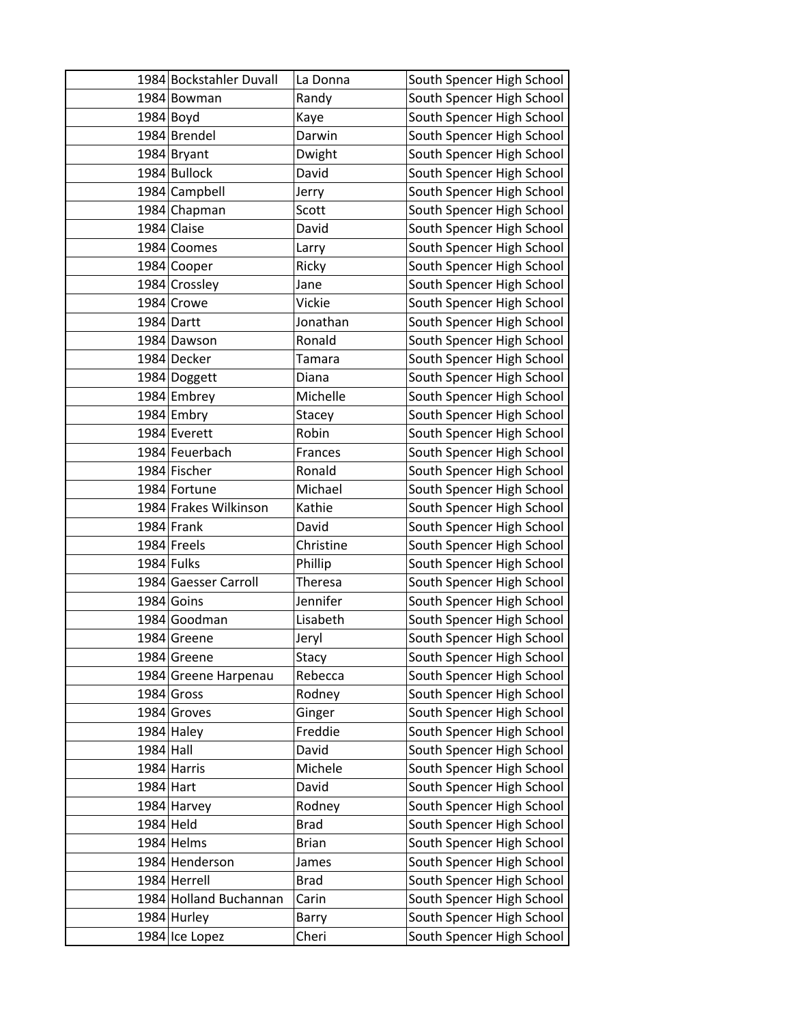|           | 1984 Bockstahler Duvall | La Donna     | South Spencer High School |
|-----------|-------------------------|--------------|---------------------------|
|           | 1984 Bowman             | Randy        | South Spencer High School |
|           | $1984$ Boyd             | Kaye         | South Spencer High School |
|           | 1984 Brendel            | Darwin       | South Spencer High School |
|           | 1984 Bryant             | Dwight       | South Spencer High School |
|           | 1984 Bullock            | David        | South Spencer High School |
|           | 1984 Campbell           | Jerry        | South Spencer High School |
|           | 1984 Chapman            | Scott        | South Spencer High School |
|           | 1984 Claise             | David        | South Spencer High School |
|           | 1984 Coomes             | Larry        | South Spencer High School |
|           | 1984 Cooper             | Ricky        | South Spencer High School |
|           | 1984 Crossley           | Jane         | South Spencer High School |
|           | 1984 Crowe              | Vickie       | South Spencer High School |
|           | 1984 Dartt              | Jonathan     | South Spencer High School |
|           | 1984 Dawson             | Ronald       | South Spencer High School |
|           | 1984 Decker             | Tamara       | South Spencer High School |
|           | 1984 Doggett            | Diana        | South Spencer High School |
|           | 1984 Embrey             | Michelle     | South Spencer High School |
|           | 1984 Embry              | Stacey       | South Spencer High School |
|           | 1984 Everett            | Robin        | South Spencer High School |
|           | 1984 Feuerbach          | Frances      | South Spencer High School |
|           | 1984 Fischer            | Ronald       | South Spencer High School |
|           | 1984 Fortune            | Michael      | South Spencer High School |
|           | 1984 Frakes Wilkinson   | Kathie       | South Spencer High School |
|           | 1984 Frank              | David        | South Spencer High School |
|           | 1984 Freels             | Christine    | South Spencer High School |
|           | 1984 Fulks              | Phillip      | South Spencer High School |
|           | 1984 Gaesser Carroll    | Theresa      | South Spencer High School |
|           | 1984 Goins              | Jennifer     | South Spencer High School |
|           | 1984 Goodman            | Lisabeth     | South Spencer High School |
|           | 1984 Greene             | Jeryl        | South Spencer High School |
|           | 1984 Greene             | Stacy        | South Spencer High School |
|           | 1984 Greene Harpenau    | Rebecca      | South Spencer High School |
|           | 1984 Gross              | Rodney       | South Spencer High School |
|           | 1984 Groves             | Ginger       | South Spencer High School |
|           | $1984$ Haley            | Freddie      | South Spencer High School |
| 1984 Hall |                         | David        | South Spencer High School |
|           | 1984 Harris             | Michele      | South Spencer High School |
| 1984 Hart |                         | David        | South Spencer High School |
|           | 1984 Harvey             | Rodney       | South Spencer High School |
| 1984 Held |                         | <b>Brad</b>  | South Spencer High School |
|           | 1984 Helms              | <b>Brian</b> | South Spencer High School |
|           | 1984 Henderson          | James        | South Spencer High School |
|           | 1984 Herrell            | <b>Brad</b>  | South Spencer High School |
|           | 1984 Holland Buchannan  | Carin        | South Spencer High School |
|           | 1984 Hurley             | Barry        | South Spencer High School |
|           | 1984 Ice Lopez          | Cheri        | South Spencer High School |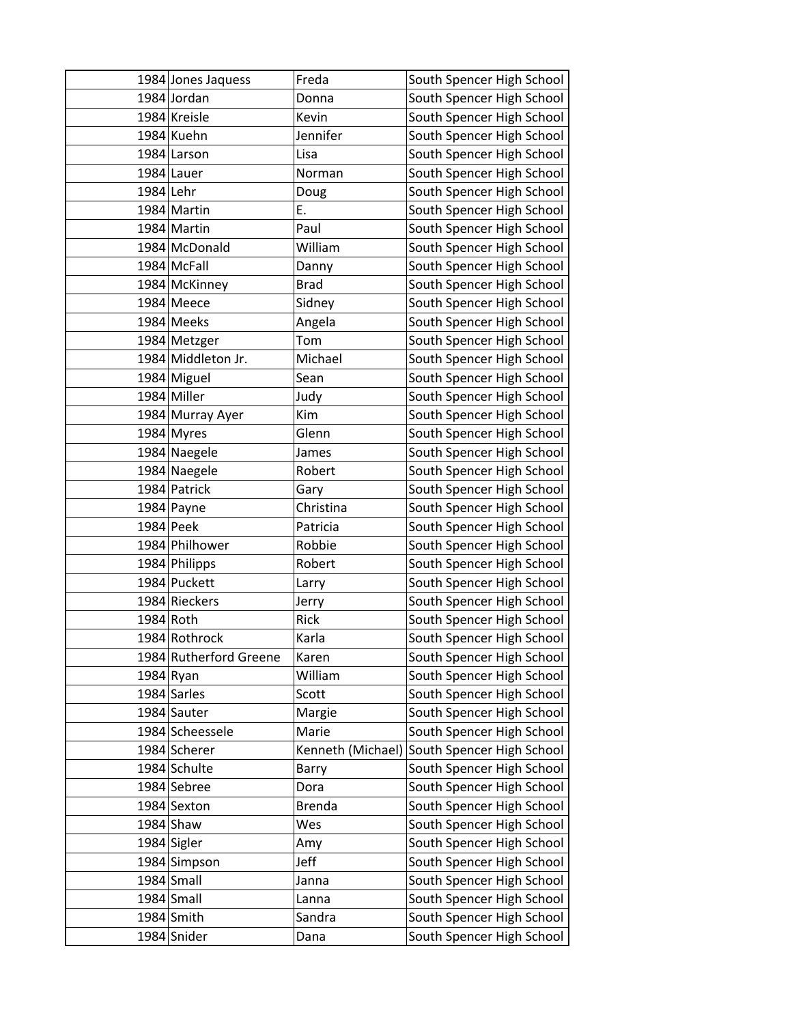|             | 1984 Jones Jaquess     | Freda             | South Spencer High School |
|-------------|------------------------|-------------------|---------------------------|
|             | 1984 Jordan            | Donna             | South Spencer High School |
|             | 1984 Kreisle           | Kevin             | South Spencer High School |
|             | 1984 Kuehn             | Jennifer          | South Spencer High School |
|             | 1984 Larson            | Lisa              | South Spencer High School |
|             | 1984 Lauer             | Norman            | South Spencer High School |
| 1984 Lehr   |                        | Doug              | South Spencer High School |
|             | 1984 Martin            | Ε.                | South Spencer High School |
|             | 1984 Martin            | Paul              | South Spencer High School |
|             | 1984 McDonald          | William           | South Spencer High School |
|             | 1984 McFall            | Danny             | South Spencer High School |
|             | 1984 McKinney          | <b>Brad</b>       | South Spencer High School |
|             | 1984 Meece             | Sidney            | South Spencer High School |
|             | 1984 Meeks             | Angela            | South Spencer High School |
|             | 1984 Metzger           | Tom               | South Spencer High School |
|             | 1984 Middleton Jr.     | Michael           | South Spencer High School |
|             | 1984 Miguel            | Sean              | South Spencer High School |
|             | 1984 Miller            | Judy              | South Spencer High School |
|             | 1984 Murray Ayer       | Kim               | South Spencer High School |
|             | 1984 Myres             | Glenn             | South Spencer High School |
|             | 1984 Naegele           | James             | South Spencer High School |
|             | 1984 Naegele           | Robert            | South Spencer High School |
|             | 1984 Patrick           | Gary              | South Spencer High School |
|             | 1984 Payne             | Christina         | South Spencer High School |
| 1984 Peek   |                        | Patricia          | South Spencer High School |
|             | 1984 Philhower         | Robbie            | South Spencer High School |
|             | 1984 Philipps          | Robert            | South Spencer High School |
|             | 1984 Puckett           | Larry             | South Spencer High School |
|             | 1984 Rieckers          | Jerry             | South Spencer High School |
| 1984 Roth   |                        | Rick              | South Spencer High School |
|             | 1984 Rothrock          | Karla             | South Spencer High School |
|             | 1984 Rutherford Greene | Karen             | South Spencer High School |
| $1984$ Ryan |                        | William           | South Spencer High School |
|             | 1984 Sarles            | Scott             | South Spencer High School |
|             | 1984 Sauter            | Margie            | South Spencer High School |
|             | 1984 Scheessele        | Marie             | South Spencer High School |
|             | 1984 Scherer           | Kenneth (Michael) | South Spencer High School |
|             | 1984 Schulte           | Barry             | South Spencer High School |
|             | 1984 Sebree            | Dora              | South Spencer High School |
|             | 1984 Sexton            | Brenda            | South Spencer High School |
|             | $1984$ Shaw            | Wes               | South Spencer High School |
|             | 1984 Sigler            | Amy               | South Spencer High School |
|             | 1984 Simpson           | Jeff              | South Spencer High School |
|             | $1984$ Small           | Janna             | South Spencer High School |
|             | 1984 Small             | Lanna             | South Spencer High School |
|             | 1984 Smith             | Sandra            | South Spencer High School |
|             | 1984 Snider            | Dana              | South Spencer High School |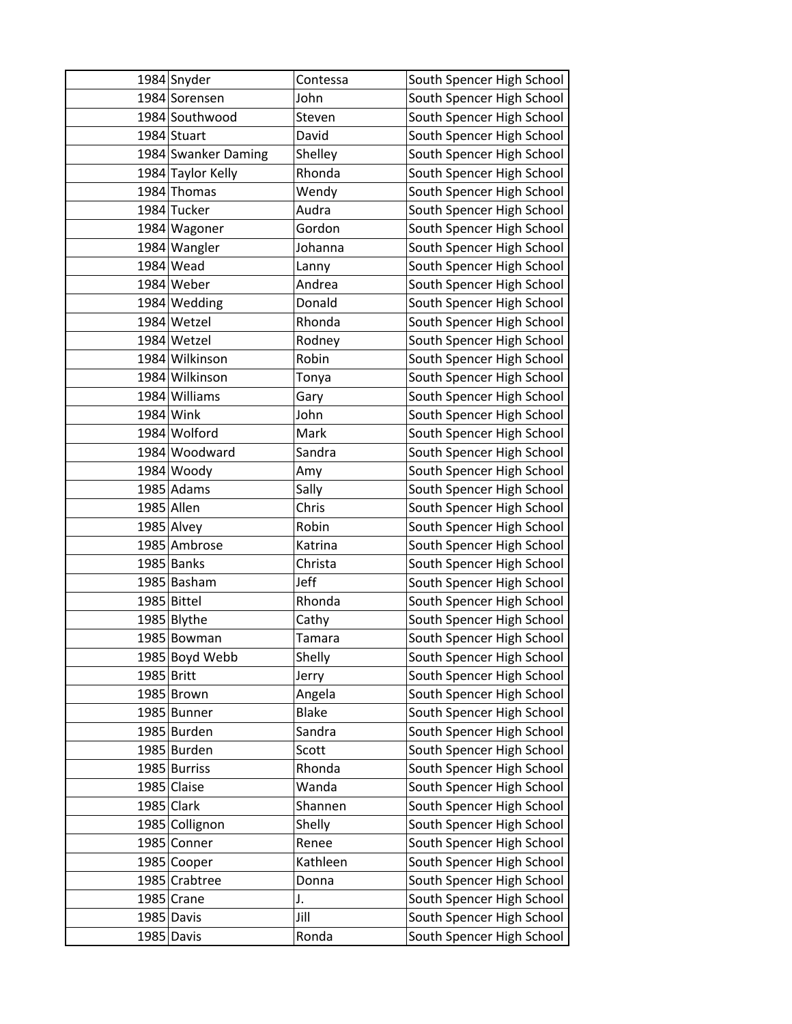|            | 1984 Snyder         | Contessa     | South Spencer High School |
|------------|---------------------|--------------|---------------------------|
|            | 1984 Sorensen       | John         | South Spencer High School |
|            | 1984 Southwood      | Steven       | South Spencer High School |
|            | 1984 Stuart         | David        | South Spencer High School |
|            | 1984 Swanker Daming | Shelley      | South Spencer High School |
|            | 1984 Taylor Kelly   | Rhonda       | South Spencer High School |
|            | 1984 Thomas         | Wendy        | South Spencer High School |
|            | 1984 Tucker         | Audra        | South Spencer High School |
|            | 1984 Wagoner        | Gordon       | South Spencer High School |
|            | 1984 Wangler        | Johanna      | South Spencer High School |
|            | 1984 Wead           | Lanny        | South Spencer High School |
|            | 1984 Weber          | Andrea       | South Spencer High School |
|            | 1984 Wedding        | Donald       | South Spencer High School |
|            | 1984 Wetzel         | Rhonda       | South Spencer High School |
|            | 1984 Wetzel         | Rodney       | South Spencer High School |
|            | 1984 Wilkinson      | Robin        | South Spencer High School |
|            | 1984 Wilkinson      | Tonya        | South Spencer High School |
|            | 1984 Williams       | Gary         | South Spencer High School |
|            | 1984 Wink           | John         | South Spencer High School |
|            | 1984 Wolford        | Mark         | South Spencer High School |
|            | 1984 Woodward       | Sandra       | South Spencer High School |
|            | 1984 Woody          | Amy          | South Spencer High School |
|            | 1985 Adams          | Sally        | South Spencer High School |
|            | 1985 Allen          | Chris        | South Spencer High School |
|            | 1985 Alvey          | Robin        | South Spencer High School |
|            | 1985 Ambrose        | Katrina      | South Spencer High School |
|            | 1985 Banks          | Christa      | South Spencer High School |
|            | 1985 Basham         | Jeff         | South Spencer High School |
|            | 1985 Bittel         | Rhonda       | South Spencer High School |
|            | 1985 Blythe         | Cathy        | South Spencer High School |
|            | 1985 Bowman         | Tamara       | South Spencer High School |
|            | 1985 Boyd Webb      | Shelly       | South Spencer High School |
| 1985 Britt |                     | Jerry        | South Spencer High School |
|            | 1985 Brown          | Angela       | South Spencer High School |
|            | 1985 Bunner         | <b>Blake</b> | South Spencer High School |
|            | 1985 Burden         | Sandra       | South Spencer High School |
|            | 1985 Burden         | Scott        | South Spencer High School |
|            | 1985 Burriss        | Rhonda       | South Spencer High School |
|            | 1985 Claise         | Wanda        | South Spencer High School |
|            | 1985 Clark          | Shannen      | South Spencer High School |
|            | 1985 Collignon      | Shelly       | South Spencer High School |
|            | 1985 Conner         | Renee        | South Spencer High School |
|            | 1985 Cooper         | Kathleen     | South Spencer High School |
|            | 1985 Crabtree       | Donna        | South Spencer High School |
|            | $1985$ Crane        | J.           | South Spencer High School |
|            | 1985 Davis          | Jill         | South Spencer High School |
|            | 1985 Davis          | Ronda        | South Spencer High School |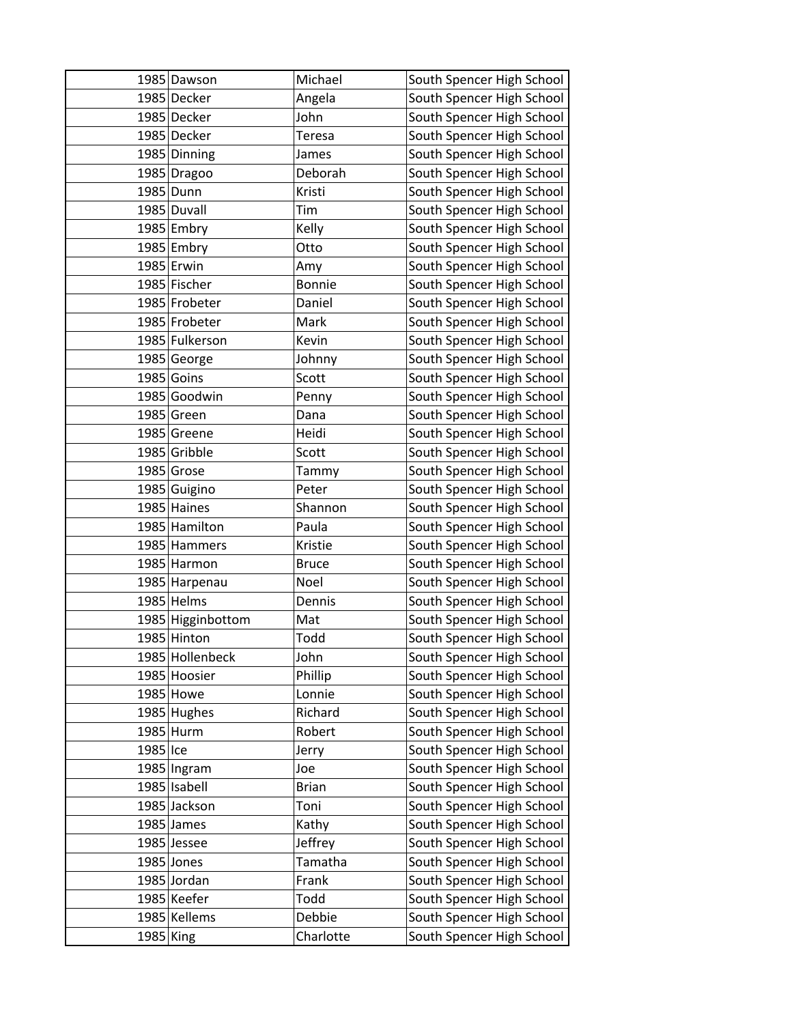|           | 1985 Dawson       | Michael       | South Spencer High School |
|-----------|-------------------|---------------|---------------------------|
|           | 1985 Decker       | Angela        | South Spencer High School |
|           | 1985 Decker       | John          | South Spencer High School |
|           | 1985 Decker       | <b>Teresa</b> | South Spencer High School |
|           | 1985 Dinning      | James         | South Spencer High School |
|           | 1985 Dragoo       | Deborah       | South Spencer High School |
|           | 1985 Dunn         | Kristi        | South Spencer High School |
|           | 1985 Duvall       | Tim           | South Spencer High School |
|           | 1985 Embry        | Kelly         | South Spencer High School |
|           | 1985 Embry        | Otto          | South Spencer High School |
|           | 1985 Erwin        | Amy           | South Spencer High School |
|           | 1985 Fischer      | <b>Bonnie</b> | South Spencer High School |
|           | 1985 Frobeter     | Daniel        | South Spencer High School |
|           | 1985 Frobeter     | Mark          | South Spencer High School |
|           | 1985 Fulkerson    | Kevin         | South Spencer High School |
|           | 1985 George       | Johnny        | South Spencer High School |
|           | 1985 Goins        | Scott         | South Spencer High School |
|           | 1985 Goodwin      | Penny         | South Spencer High School |
|           | 1985 Green        | Dana          | South Spencer High School |
|           | 1985 Greene       | Heidi         | South Spencer High School |
|           | 1985 Gribble      | Scott         | South Spencer High School |
|           | 1985 Grose        | Tammy         | South Spencer High School |
|           | 1985 Guigino      | Peter         | South Spencer High School |
|           | 1985 Haines       | Shannon       | South Spencer High School |
|           | 1985 Hamilton     | Paula         | South Spencer High School |
|           | 1985 Hammers      | Kristie       | South Spencer High School |
|           | 1985 Harmon       | <b>Bruce</b>  | South Spencer High School |
|           | 1985 Harpenau     | Noel          | South Spencer High School |
|           | 1985 Helms        | Dennis        | South Spencer High School |
|           | 1985 Higginbottom | Mat           | South Spencer High School |
|           | 1985 Hinton       | Todd          | South Spencer High School |
|           | 1985 Hollenbeck   | John          | South Spencer High School |
|           | 1985 Hoosier      | Phillip       | South Spencer High School |
|           | 1985 Howe         | Lonnie        | South Spencer High School |
|           | 1985 Hughes       | Richard       | South Spencer High School |
|           | 1985 Hurm         | Robert        | South Spencer High School |
| 1985 Ice  |                   | Jerry         | South Spencer High School |
|           | 1985 Ingram       | Joe           | South Spencer High School |
|           | 1985 Isabell      | <b>Brian</b>  | South Spencer High School |
|           | 1985 Jackson      | Toni          | South Spencer High School |
|           | 1985 James        | Kathy         | South Spencer High School |
|           | 1985 Jessee       | Jeffrey       | South Spencer High School |
|           | 1985 Jones        | Tamatha       | South Spencer High School |
|           | 1985 Jordan       | Frank         | South Spencer High School |
|           | 1985 Keefer       | Todd          | South Spencer High School |
|           | 1985 Kellems      | Debbie        | South Spencer High School |
| 1985 King |                   | Charlotte     | South Spencer High School |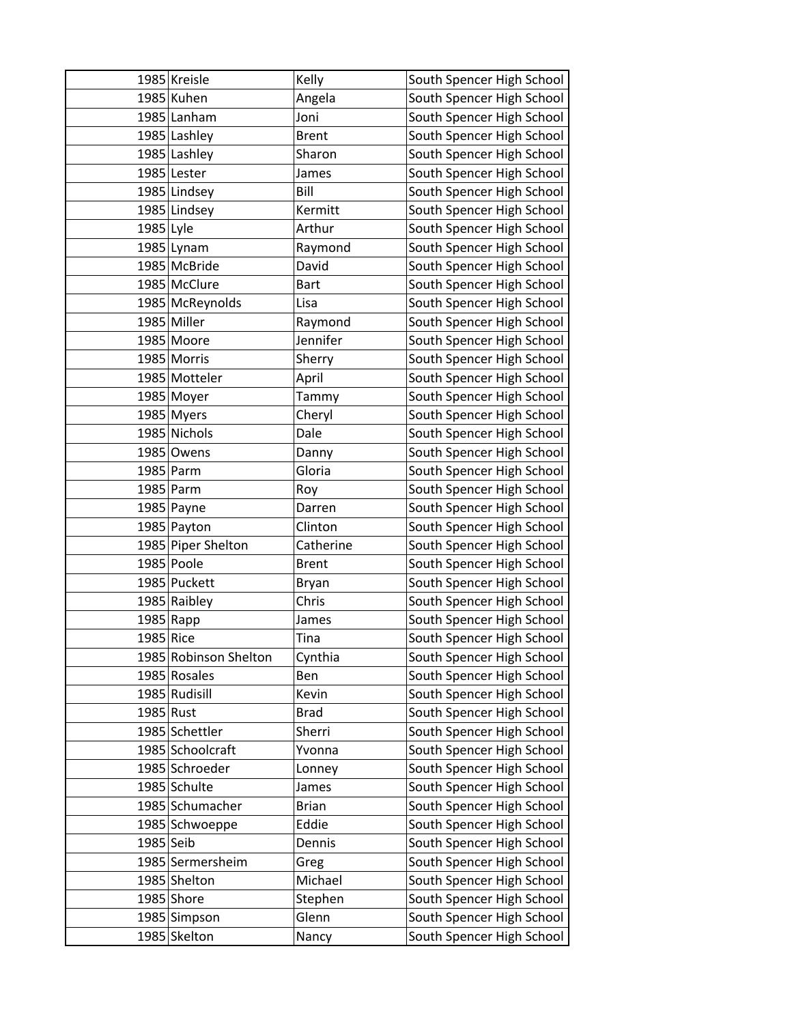|           | 1985 Kreisle          | Kelly        | South Spencer High School |
|-----------|-----------------------|--------------|---------------------------|
|           | 1985 Kuhen            | Angela       | South Spencer High School |
|           | 1985 Lanham           | Joni         | South Spencer High School |
|           | 1985 Lashley          | <b>Brent</b> | South Spencer High School |
|           | 1985 Lashley          | Sharon       | South Spencer High School |
|           | 1985 Lester           | James        | South Spencer High School |
|           | 1985 Lindsey          | Bill         | South Spencer High School |
|           | 1985 Lindsey          | Kermitt      | South Spencer High School |
| 1985 Lyle |                       | Arthur       | South Spencer High School |
|           | 1985 Lynam            | Raymond      | South Spencer High School |
|           | 1985 McBride          | David        | South Spencer High School |
|           | 1985 McClure          | <b>Bart</b>  | South Spencer High School |
|           | 1985 McReynolds       | Lisa         | South Spencer High School |
|           | 1985 Miller           | Raymond      | South Spencer High School |
|           | 1985 Moore            | Jennifer     | South Spencer High School |
|           | 1985 Morris           | Sherry       | South Spencer High School |
|           | 1985 Motteler         | April        | South Spencer High School |
|           | 1985 Moyer            | Tammy        | South Spencer High School |
|           | 1985 Myers            | Cheryl       | South Spencer High School |
|           | 1985 Nichols          | Dale         | South Spencer High School |
|           | 1985 Owens            | Danny        | South Spencer High School |
|           | 1985 Parm             | Gloria       | South Spencer High School |
|           | 1985 Parm             | Roy          | South Spencer High School |
|           | 1985 Payne            | Darren       | South Spencer High School |
|           | 1985 Payton           | Clinton      | South Spencer High School |
|           | 1985 Piper Shelton    | Catherine    | South Spencer High School |
|           | 1985 Poole            | <b>Brent</b> | South Spencer High School |
|           | 1985 Puckett          | Bryan        | South Spencer High School |
|           | 1985 Raibley          | Chris        | South Spencer High School |
|           | 1985 Rapp             | James        | South Spencer High School |
| 1985 Rice |                       | Tina         | South Spencer High School |
|           | 1985 Robinson Shelton | Cynthia      | South Spencer High School |
|           | 1985 Rosales          | Ben          | South Spencer High School |
|           | 1985 Rudisill         | Kevin        | South Spencer High School |
| 1985 Rust |                       | <b>Brad</b>  | South Spencer High School |
|           | 1985 Schettler        | Sherri       | South Spencer High School |
|           | 1985 Schoolcraft      | Yvonna       | South Spencer High School |
|           | 1985 Schroeder        | Lonney       | South Spencer High School |
|           | 1985 Schulte          | James        | South Spencer High School |
|           | 1985 Schumacher       | <b>Brian</b> | South Spencer High School |
|           | 1985 Schwoeppe        | Eddie        | South Spencer High School |
| 1985 Seib |                       | Dennis       | South Spencer High School |
|           | 1985 Sermersheim      | Greg         | South Spencer High School |
|           | 1985 Shelton          | Michael      | South Spencer High School |
|           | $1985$ Shore          | Stephen      | South Spencer High School |
|           | 1985 Simpson          | Glenn        | South Spencer High School |
|           | 1985 Skelton          | Nancy        | South Spencer High School |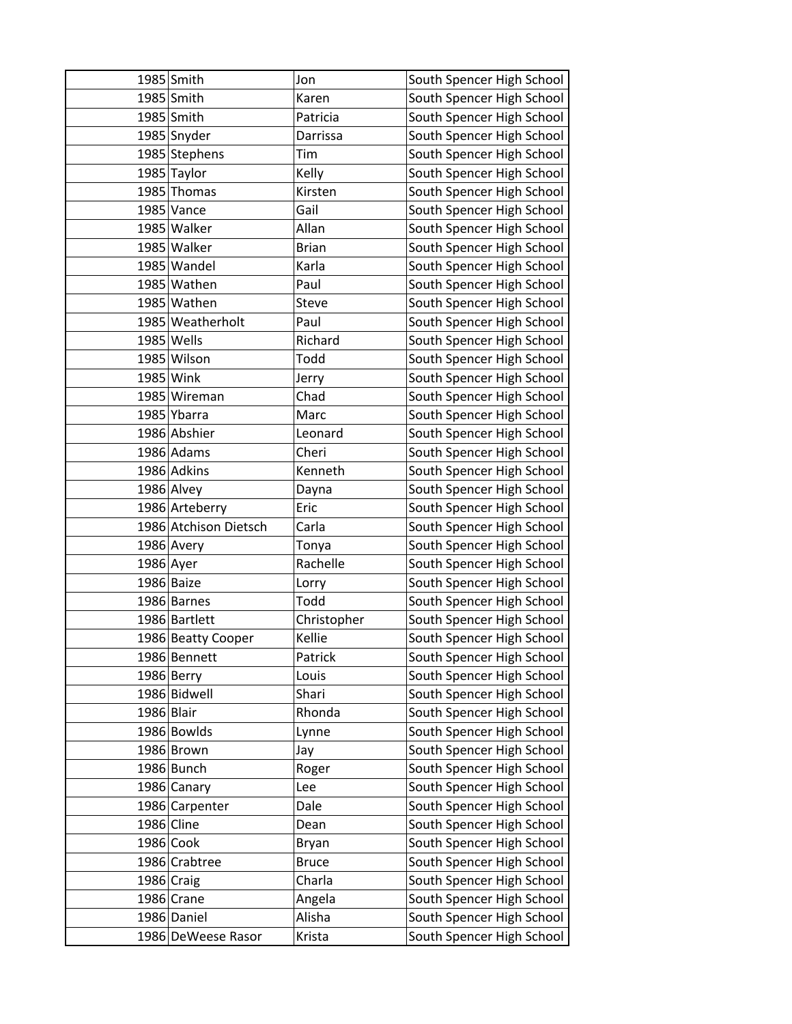|            | 1985 Smith            | Jon          | South Spencer High School |
|------------|-----------------------|--------------|---------------------------|
|            | 1985 Smith            | Karen        | South Spencer High School |
|            | 1985 Smith            | Patricia     | South Spencer High School |
|            | 1985 Snyder           | Darrissa     | South Spencer High School |
|            | 1985 Stephens         | Tim          | South Spencer High School |
|            | 1985 Taylor           | Kelly        | South Spencer High School |
|            | 1985 Thomas           | Kirsten      | South Spencer High School |
|            | 1985 Vance            | Gail         | South Spencer High School |
|            | 1985 Walker           | Allan        | South Spencer High School |
|            | 1985 Walker           | <b>Brian</b> | South Spencer High School |
|            | 1985 Wandel           | Karla        | South Spencer High School |
|            | 1985 Wathen           | Paul         | South Spencer High School |
|            | 1985 Wathen           | Steve        | South Spencer High School |
|            | 1985 Weatherholt      | Paul         | South Spencer High School |
|            | 1985 Wells            | Richard      | South Spencer High School |
|            | 1985 Wilson           | Todd         | South Spencer High School |
|            | 1985 Wink             | Jerry        | South Spencer High School |
|            | 1985 Wireman          | Chad         | South Spencer High School |
|            | 1985 Ybarra           | Marc         | South Spencer High School |
|            | 1986 Abshier          | Leonard      | South Spencer High School |
|            | 1986 Adams            | Cheri        | South Spencer High School |
|            | 1986 Adkins           | Kenneth      | South Spencer High School |
|            | 1986 Alvey            | Dayna        | South Spencer High School |
|            | 1986 Arteberry        | Eric         | South Spencer High School |
|            | 1986 Atchison Dietsch | Carla        | South Spencer High School |
|            | 1986 Avery            | Tonya        | South Spencer High School |
| 1986 Ayer  |                       | Rachelle     | South Spencer High School |
|            | 1986 Baize            | Lorry        | South Spencer High School |
|            | 1986 Barnes           | Todd         | South Spencer High School |
|            | 1986 Bartlett         | Christopher  | South Spencer High School |
|            | 1986 Beatty Cooper    | Kellie       | South Spencer High School |
|            | 1986 Bennett          | Patrick      | South Spencer High School |
|            | 1986 Berry            | Louis        | South Spencer High School |
|            | 1986 Bidwell          | Shari        | South Spencer High School |
| 1986 Blair |                       | Rhonda       | South Spencer High School |
|            | 1986 Bowlds           | Lynne        | South Spencer High School |
|            | 1986 Brown            | Jay          | South Spencer High School |
|            | 1986 Bunch            | Roger        | South Spencer High School |
|            | 1986 Canary           | Lee          | South Spencer High School |
|            | 1986 Carpenter        | Dale         | South Spencer High School |
| 1986 Cline |                       | Dean         | South Spencer High School |
|            | 1986 Cook             | Bryan        | South Spencer High School |
|            | 1986 Crabtree         | <b>Bruce</b> | South Spencer High School |
|            | 1986 Craig            | Charla       | South Spencer High School |
|            | 1986 Crane            | Angela       | South Spencer High School |
|            | 1986 Daniel           | Alisha       | South Spencer High School |
|            | 1986 DeWeese Rasor    | Krista       | South Spencer High School |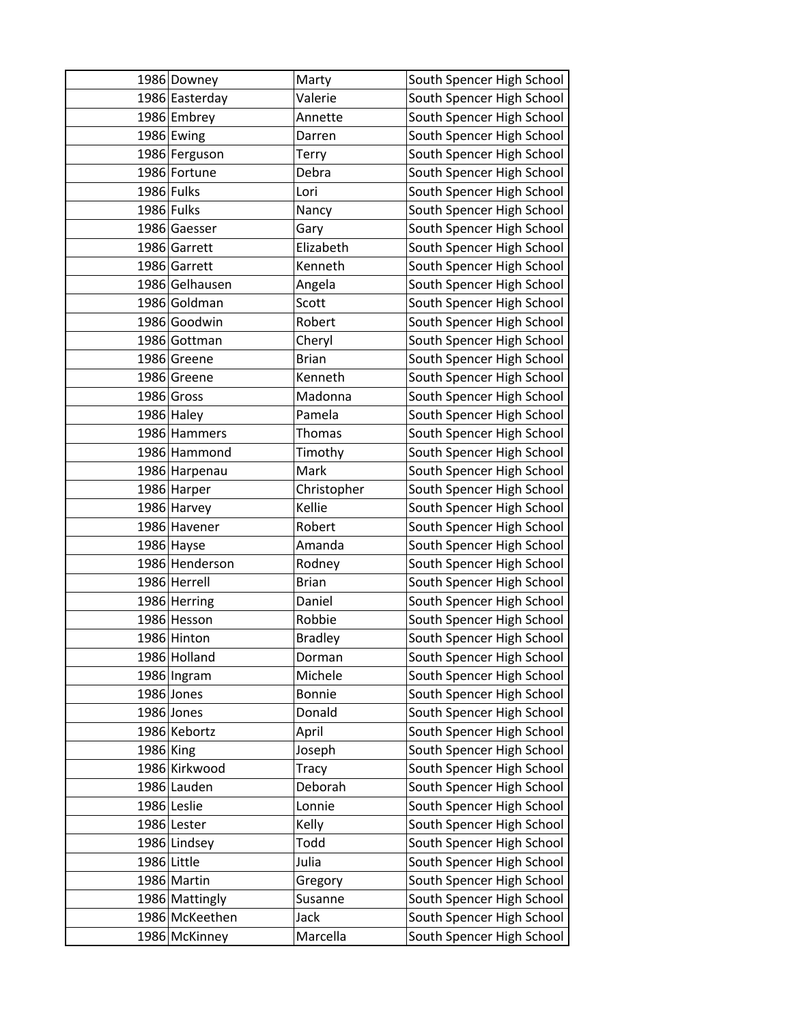|             | 1986 Downey    | Marty          | South Spencer High School |
|-------------|----------------|----------------|---------------------------|
|             | 1986 Easterday | Valerie        | South Spencer High School |
|             | 1986 Embrey    | Annette        | South Spencer High School |
|             | 1986 Ewing     | Darren         | South Spencer High School |
|             | 1986 Ferguson  | Terry          | South Spencer High School |
|             | 1986 Fortune   | Debra          | South Spencer High School |
| 1986 Fulks  |                | Lori           | South Spencer High School |
| 1986 Fulks  |                | Nancy          | South Spencer High School |
|             | 1986 Gaesser   | Gary           | South Spencer High School |
|             | 1986 Garrett   | Elizabeth      | South Spencer High School |
|             | 1986 Garrett   | Kenneth        | South Spencer High School |
|             | 1986 Gelhausen | Angela         | South Spencer High School |
|             | 1986 Goldman   | Scott          | South Spencer High School |
|             | 1986 Goodwin   | Robert         | South Spencer High School |
|             | 1986 Gottman   | Cheryl         | South Spencer High School |
|             | 1986 Greene    | <b>Brian</b>   | South Spencer High School |
|             | 1986 Greene    | Kenneth        | South Spencer High School |
|             | 1986 Gross     | Madonna        | South Spencer High School |
|             | 1986 Haley     | Pamela         | South Spencer High School |
|             | 1986 Hammers   | <b>Thomas</b>  | South Spencer High School |
|             | 1986 Hammond   | Timothy        | South Spencer High School |
|             | 1986 Harpenau  | Mark           | South Spencer High School |
|             | 1986 Harper    | Christopher    | South Spencer High School |
|             | 1986 Harvey    | Kellie         | South Spencer High School |
|             | 1986 Havener   | Robert         | South Spencer High School |
|             | 1986 Hayse     | Amanda         | South Spencer High School |
|             | 1986 Henderson | Rodney         | South Spencer High School |
|             | 1986 Herrell   | <b>Brian</b>   | South Spencer High School |
|             | 1986 Herring   | Daniel         | South Spencer High School |
|             | 1986 Hesson    | Robbie         | South Spencer High School |
|             | 1986 Hinton    | <b>Bradley</b> | South Spencer High School |
|             | 1986 Holland   | Dorman         | South Spencer High School |
|             | 1986 Ingram    | Michele        | South Spencer High School |
|             | 1986 Jones     | <b>Bonnie</b>  | South Spencer High School |
|             | 1986 Jones     | Donald         | South Spencer High School |
|             | 1986 Kebortz   | April          | South Spencer High School |
| 1986 King   |                | Joseph         | South Spencer High School |
|             | 1986 Kirkwood  | Tracy          | South Spencer High School |
|             | 1986 Lauden    | Deborah        | South Spencer High School |
|             | 1986 Leslie    | Lonnie         | South Spencer High School |
|             | 1986 Lester    | Kelly          | South Spencer High School |
|             | 1986 Lindsey   | Todd           | South Spencer High School |
| 1986 Little |                | Julia          | South Spencer High School |
|             | 1986 Martin    | Gregory        | South Spencer High School |
|             | 1986 Mattingly | Susanne        | South Spencer High School |
|             | 1986 McKeethen | Jack           | South Spencer High School |
|             | 1986 McKinney  | Marcella       | South Spencer High School |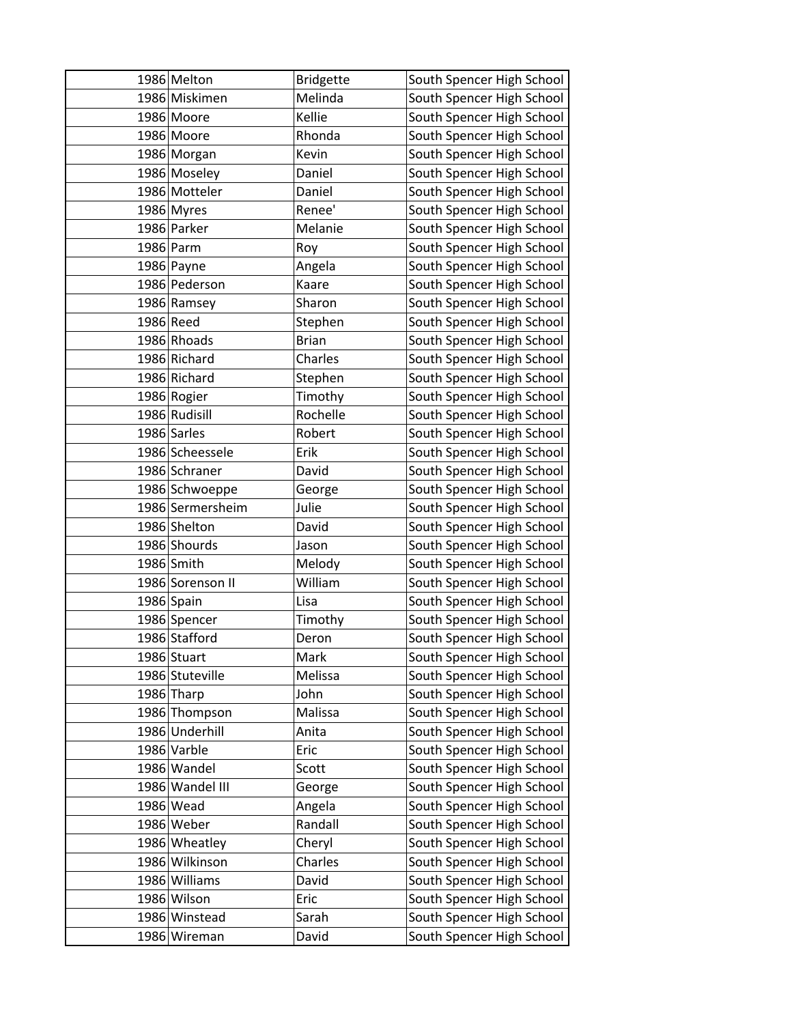| 1986 Melton                     | <b>Bridgette</b> | South Spencer High School                              |
|---------------------------------|------------------|--------------------------------------------------------|
| 1986 Miskimen                   | Melinda          | South Spencer High School                              |
| 1986 Moore                      | Kellie           | South Spencer High School                              |
| 1986 Moore                      | Rhonda           | South Spencer High School                              |
| 1986 Morgan                     | Kevin            | South Spencer High School                              |
| 1986 Moseley                    | Daniel           | South Spencer High School                              |
| 1986 Motteler                   | Daniel           | South Spencer High School                              |
| 1986 Myres                      | Renee'           | South Spencer High School                              |
| 1986 Parker                     | Melanie          | South Spencer High School                              |
| 1986 Parm                       | Roy              | South Spencer High School                              |
| 1986 Payne                      | Angela           | South Spencer High School                              |
| 1986 Pederson                   | Kaare            | South Spencer High School                              |
| 1986 Ramsey                     | Sharon           | South Spencer High School                              |
| 1986 Reed                       | Stephen          | South Spencer High School                              |
| 1986 Rhoads                     | <b>Brian</b>     | South Spencer High School                              |
| 1986 Richard                    | Charles          | South Spencer High School                              |
| 1986 Richard                    | Stephen          | South Spencer High School                              |
| 1986 Rogier                     | Timothy          | South Spencer High School                              |
| 1986 Rudisill                   | Rochelle         | South Spencer High School                              |
| 1986 Sarles                     | Robert           | South Spencer High School                              |
| 1986 Scheessele                 | Erik             | South Spencer High School                              |
| 1986 Schraner                   | David            | South Spencer High School                              |
| 1986 Schwoeppe                  | George           | South Spencer High School                              |
| 1986 Sermersheim                | Julie            | South Spencer High School                              |
| 1986 Shelton                    | David            | South Spencer High School                              |
| 1986 Shourds                    | Jason            | South Spencer High School                              |
| 1986 Smith                      | Melody           | South Spencer High School                              |
| 1986 Sorenson II                | William          | South Spencer High School                              |
| 1986 Spain                      | Lisa             | South Spencer High School                              |
| 1986 Spencer                    | Timothy          | South Spencer High School                              |
| 1986 Stafford                   | Deron            | South Spencer High School                              |
| 1986 Stuart                     | Mark             | South Spencer High School                              |
| 1986 Stuteville                 | Melissa          | South Spencer High School                              |
| 1986 Tharp                      | John             | South Spencer High School                              |
| 1986 Thompson                   | Malissa          | South Spencer High School                              |
| 1986 Underhill                  | Anita            | South Spencer High School                              |
| 1986 Varble                     | Eric             | South Spencer High School                              |
| 1986 Wandel                     | Scott            | South Spencer High School                              |
| 1986 Wandel III                 | George           | South Spencer High School                              |
| 1986 Wead                       | Angela           | South Spencer High School                              |
| 1986 Weber                      | Randall          | South Spencer High School                              |
| 1986 Wheatley                   | Cheryl           | South Spencer High School                              |
| 1986 Wilkinson<br>1986 Williams | Charles<br>David | South Spencer High School<br>South Spencer High School |
|                                 |                  |                                                        |
| 1986 Wilson                     | Eric             | South Spencer High School                              |
| 1986 Winstead                   | Sarah            | South Spencer High School                              |
| 1986 Wireman                    | David            | South Spencer High School                              |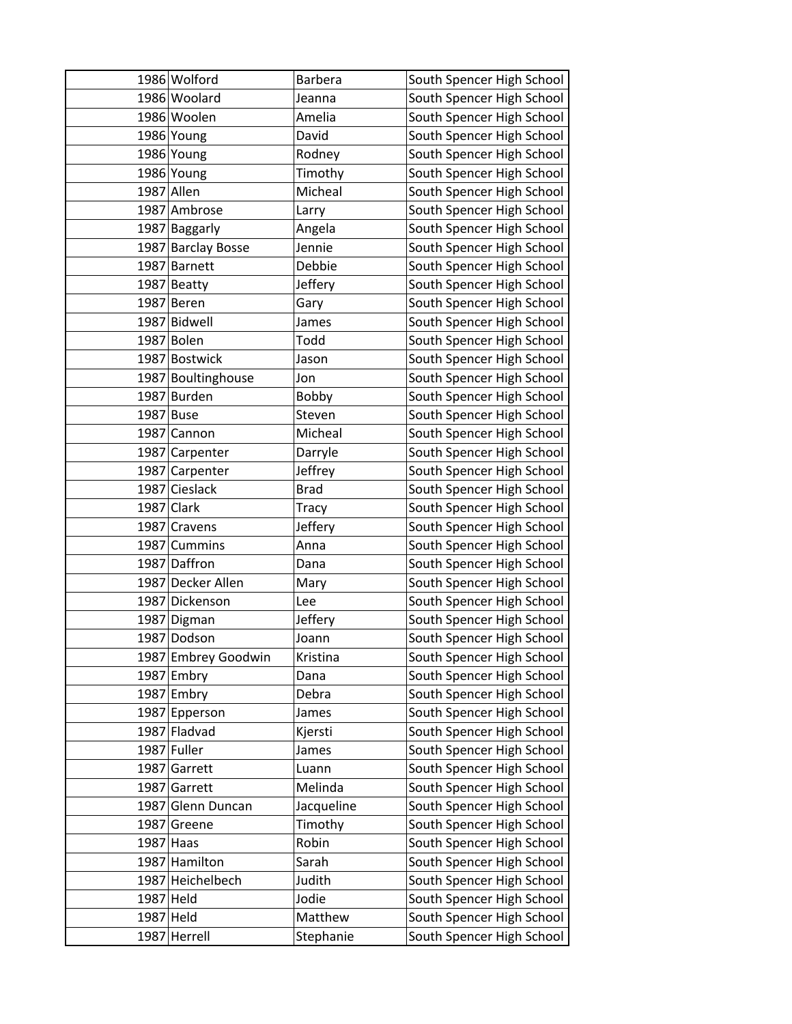|           | 1986 Wolford        | <b>Barbera</b> | South Spencer High School |
|-----------|---------------------|----------------|---------------------------|
|           | 1986 Woolard        | Jeanna         | South Spencer High School |
|           | 1986 Woolen         | Amelia         | South Spencer High School |
|           | 1986 Young          | David          | South Spencer High School |
|           | 1986 Young          | Rodney         | South Spencer High School |
|           | 1986 Young          | Timothy        | South Spencer High School |
|           | 1987 Allen          | Micheal        | South Spencer High School |
|           | 1987 Ambrose        | Larry          | South Spencer High School |
|           | 1987 Baggarly       | Angela         | South Spencer High School |
|           | 1987 Barclay Bosse  | Jennie         | South Spencer High School |
|           | 1987 Barnett        | Debbie         | South Spencer High School |
|           | 1987 Beatty         | Jeffery        | South Spencer High School |
|           | 1987 Beren          | Gary           | South Spencer High School |
|           | 1987 Bidwell        | James          | South Spencer High School |
|           | 1987 Bolen          | Todd           | South Spencer High School |
|           | 1987 Bostwick       | Jason          | South Spencer High School |
|           | 1987 Boultinghouse  | Jon            | South Spencer High School |
|           | 1987 Burden         | Bobby          | South Spencer High School |
|           | 1987 Buse           | Steven         | South Spencer High School |
|           | 1987 Cannon         | Micheal        | South Spencer High School |
|           | 1987 Carpenter      | Darryle        | South Spencer High School |
|           | 1987 Carpenter      | Jeffrey        | South Spencer High School |
|           | 1987 Cieslack       | <b>Brad</b>    | South Spencer High School |
|           | 1987 Clark          | <b>Tracy</b>   | South Spencer High School |
|           | 1987 Cravens        | Jeffery        | South Spencer High School |
|           | 1987 Cummins        | Anna           | South Spencer High School |
|           | 1987 Daffron        | Dana           | South Spencer High School |
|           | 1987 Decker Allen   | Mary           | South Spencer High School |
|           | 1987 Dickenson      | Lee            | South Spencer High School |
|           | 1987 Digman         | Jeffery        | South Spencer High School |
|           | 1987 Dodson         | Joann          | South Spencer High School |
|           | 1987 Embrey Goodwin | Kristina       | South Spencer High School |
|           | 1987 Embry          | Dana           | South Spencer High School |
|           | 1987 Embry          | Debra          | South Spencer High School |
|           | 1987 Epperson       | James          | South Spencer High School |
|           | 1987 Fladvad        | Kjersti        | South Spencer High School |
|           | 1987 Fuller         | James          | South Spencer High School |
|           | 1987 Garrett        | Luann          | South Spencer High School |
|           | 1987 Garrett        | Melinda        | South Spencer High School |
|           | 1987 Glenn Duncan   | Jacqueline     | South Spencer High School |
|           | 1987 Greene         | Timothy        | South Spencer High School |
|           | $1987$ Haas         | Robin          | South Spencer High School |
|           | 1987 Hamilton       | Sarah          | South Spencer High School |
|           | 1987 Heichelbech    | Judith         | South Spencer High School |
| 1987 Held |                     | Jodie          | South Spencer High School |
| 1987 Held |                     | Matthew        | South Spencer High School |
|           | 1987 Herrell        | Stephanie      | South Spencer High School |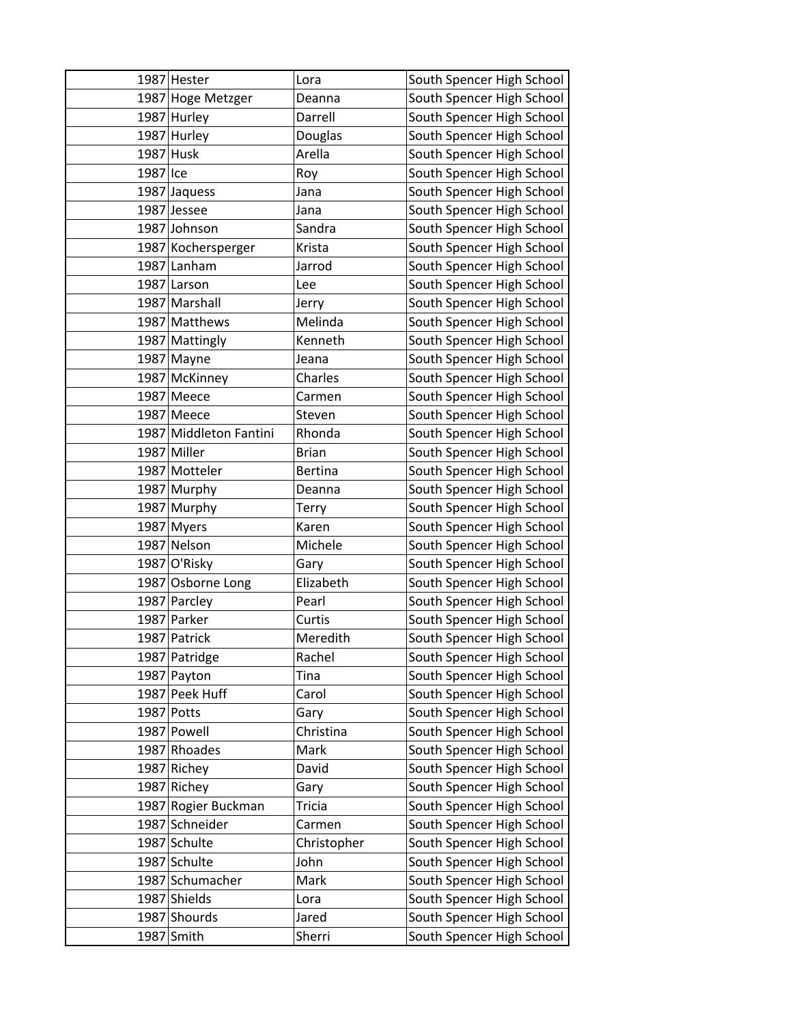|          | 1987 Hester               | Lora              | South Spencer High School                              |
|----------|---------------------------|-------------------|--------------------------------------------------------|
|          | 1987 Hoge Metzger         | Deanna            | South Spencer High School                              |
|          | 1987 Hurley               | Darrell           | South Spencer High School                              |
|          | 1987 Hurley               | Douglas           | South Spencer High School                              |
|          | 1987 Husk                 | Arella            | South Spencer High School                              |
| 1987 Ice |                           | Roy               | South Spencer High School                              |
|          | 1987 Jaquess              | Jana              | South Spencer High School                              |
|          | 1987 Jessee               | Jana              | South Spencer High School                              |
|          | 1987 Johnson              | Sandra            | South Spencer High School                              |
|          | 1987 Kochersperger        | Krista            | South Spencer High School                              |
|          | 1987 Lanham               | Jarrod            | South Spencer High School                              |
|          | 1987 Larson               | Lee               | South Spencer High School                              |
|          | 1987 Marshall             | Jerry             | South Spencer High School                              |
|          | 1987 Matthews             | Melinda           | South Spencer High School                              |
|          | 1987 Mattingly            | Kenneth           | South Spencer High School                              |
|          | 1987 Mayne                | Jeana             | South Spencer High School                              |
|          | 1987 McKinney             | Charles           | South Spencer High School                              |
|          | 1987 Meece                | Carmen            | South Spencer High School                              |
|          | 1987 Meece                | Steven            | South Spencer High School                              |
|          | 1987 Middleton Fantini    | Rhonda            | South Spencer High School                              |
|          | 1987 Miller               | <b>Brian</b>      | South Spencer High School                              |
|          | 1987 Motteler             | <b>Bertina</b>    | South Spencer High School                              |
|          | 1987 Murphy               | Deanna            | South Spencer High School                              |
|          | 1987 Murphy               | Terry             | South Spencer High School                              |
|          | 1987 Myers                | Karen             | South Spencer High School                              |
|          | 1987 Nelson               | Michele           | South Spencer High School                              |
|          | 1987 O'Risky              | Gary              | South Spencer High School                              |
|          | 1987 Osborne Long         | Elizabeth         | South Spencer High School                              |
|          | 1987 Parcley              | Pearl             | South Spencer High School                              |
|          | 1987 Parker               | Curtis            | South Spencer High School                              |
|          | 1987 Patrick              | Meredith          | South Spencer High School                              |
|          | 1987 Patridge             | Rachel            | South Spencer High School                              |
|          | 1987 Payton               | Tina              | South Spencer High School                              |
|          | 1987 Peek Huff            | Carol             | South Spencer High School                              |
|          | 1987 Potts<br>1987 Powell | Gary<br>Christina | South Spencer High School                              |
|          | 1987 Rhoades              | Mark              | South Spencer High School<br>South Spencer High School |
|          | 1987 Richey               | David             | South Spencer High School                              |
|          | 1987 Richey               | Gary              | South Spencer High School                              |
|          | 1987 Rogier Buckman       | <b>Tricia</b>     | South Spencer High School                              |
|          | 1987 Schneider            | Carmen            | South Spencer High School                              |
|          | 1987 Schulte              | Christopher       | South Spencer High School                              |
|          | 1987 Schulte              | John              | South Spencer High School                              |
|          | 1987 Schumacher           | Mark              | South Spencer High School                              |
|          | 1987 Shields              | Lora              | South Spencer High School                              |
|          | 1987 Shourds              | Jared             | South Spencer High School                              |
|          | 1987 Smith                | Sherri            | South Spencer High School                              |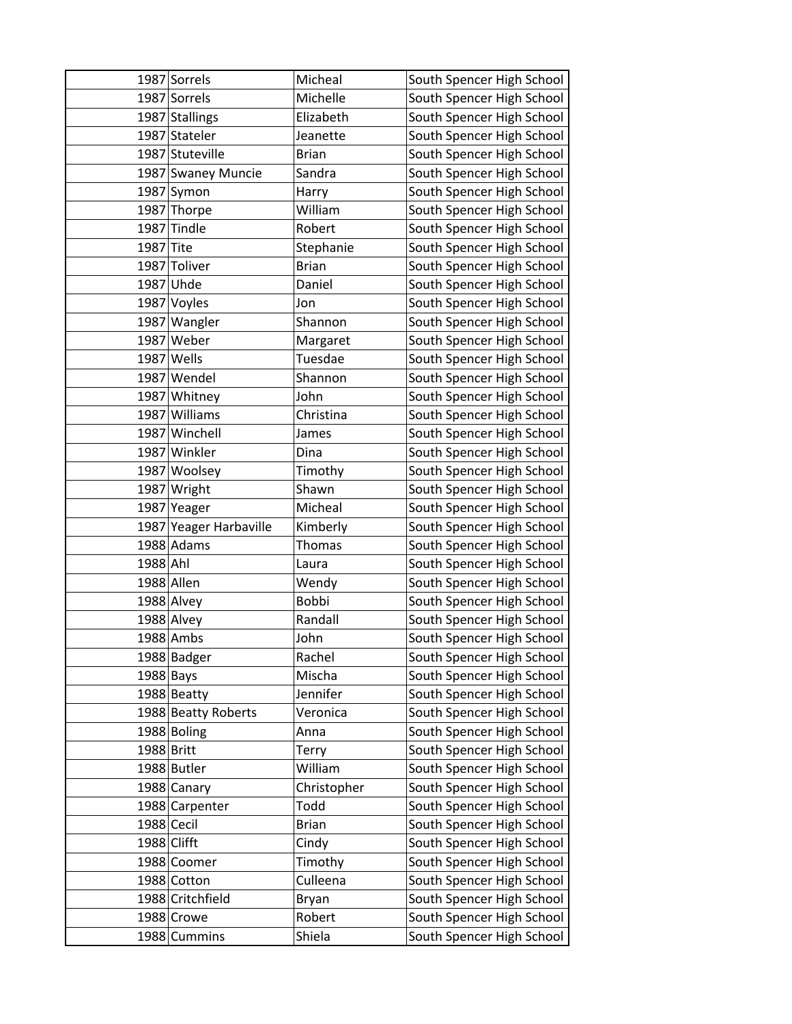|             | 1987 Sorrels           | Micheal       | South Spencer High School |
|-------------|------------------------|---------------|---------------------------|
|             | 1987 Sorrels           | Michelle      | South Spencer High School |
|             | 1987 Stallings         | Elizabeth     | South Spencer High School |
|             | 1987 Stateler          | Jeanette      | South Spencer High School |
|             | 1987 Stuteville        | <b>Brian</b>  | South Spencer High School |
|             | 1987 Swaney Muncie     | Sandra        | South Spencer High School |
|             | 1987 Symon             | Harry         | South Spencer High School |
|             | 1987 Thorpe            | William       | South Spencer High School |
|             | 1987 Tindle            | Robert        | South Spencer High School |
| 1987 Tite   |                        | Stephanie     | South Spencer High School |
|             | 1987 Toliver           | <b>Brian</b>  | South Spencer High School |
|             | 1987 Uhde              | Daniel        | South Spencer High School |
|             | 1987 Voyles            | Jon           | South Spencer High School |
|             | 1987 Wangler           | Shannon       | South Spencer High School |
|             | 1987 Weber             | Margaret      | South Spencer High School |
|             | 1987 Wells             | Tuesdae       | South Spencer High School |
|             | 1987 Wendel            | Shannon       | South Spencer High School |
|             | 1987 Whitney           | John          | South Spencer High School |
|             | 1987 Williams          | Christina     | South Spencer High School |
|             | 1987 Winchell          | James         | South Spencer High School |
|             | 1987 Winkler           | Dina          | South Spencer High School |
|             | 1987 Woolsey           | Timothy       | South Spencer High School |
|             | 1987 Wright            | Shawn         | South Spencer High School |
|             | 1987 Yeager            | Micheal       | South Spencer High School |
|             | 1987 Yeager Harbaville | Kimberly      | South Spencer High School |
|             | 1988 Adams             | <b>Thomas</b> | South Spencer High School |
| 1988 Ahl    |                        | Laura         | South Spencer High School |
|             | 1988 Allen             | Wendy         | South Spencer High School |
|             | 1988 Alvey             | Bobbi         | South Spencer High School |
|             | 1988 Alvey             | Randall       | South Spencer High School |
|             | 1988 Ambs              | John          | South Spencer High School |
|             | 1988 Badger            | Rachel        | South Spencer High School |
| 1988 Bays   |                        | Mischa        | South Spencer High School |
|             | 1988 Beatty            | Jennifer      | South Spencer High School |
|             | 1988 Beatty Roberts    | Veronica      | South Spencer High School |
|             | 1988 Boling            | Anna          | South Spencer High School |
| 1988 Britt  |                        | Terry         | South Spencer High School |
|             | 1988 Butler            | William       | South Spencer High School |
|             | 1988 Canary            | Christopher   | South Spencer High School |
|             | 1988 Carpenter         | Todd          | South Spencer High School |
| 1988 Cecil  |                        | <b>Brian</b>  | South Spencer High School |
| 1988 Clifft |                        | Cindy         | South Spencer High School |
|             | 1988 Coomer            | Timothy       | South Spencer High School |
|             | 1988 Cotton            | Culleena      | South Spencer High School |
|             | 1988 Critchfield       | Bryan         | South Spencer High School |
|             | 1988 Crowe             | Robert        | South Spencer High School |
|             | 1988 Cummins           | Shiela        | South Spencer High School |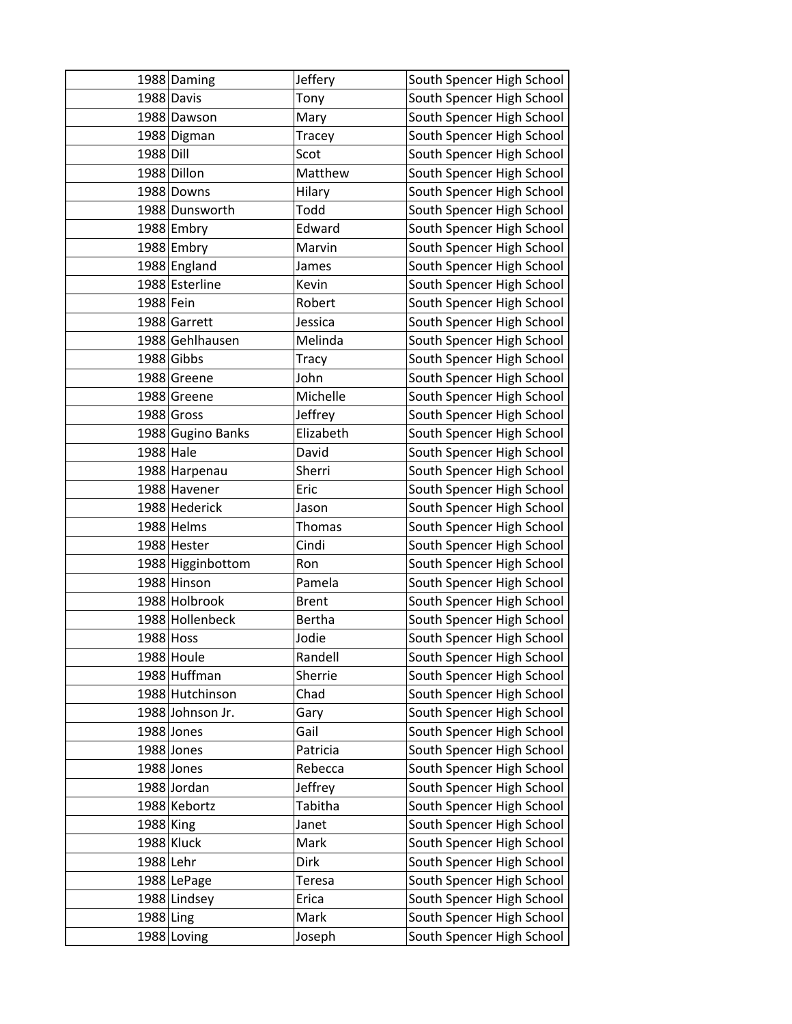|           | 1988 Daming       | Jeffery       | South Spencer High School |
|-----------|-------------------|---------------|---------------------------|
|           | 1988 Davis        | Tony          | South Spencer High School |
|           | 1988 Dawson       | Mary          | South Spencer High School |
|           | 1988 Digman       | Tracey        | South Spencer High School |
| 1988 Dill |                   | Scot          | South Spencer High School |
|           | 1988 Dillon       | Matthew       | South Spencer High School |
|           | 1988 Downs        | Hilary        | South Spencer High School |
|           | 1988 Dunsworth    | Todd          | South Spencer High School |
|           | 1988 Embry        | Edward        | South Spencer High School |
|           | 1988 Embry        | Marvin        | South Spencer High School |
|           | 1988 England      | James         | South Spencer High School |
|           | 1988 Esterline    | Kevin         | South Spencer High School |
| 1988 Fein |                   | Robert        | South Spencer High School |
|           | 1988 Garrett      | Jessica       | South Spencer High School |
|           | 1988 Gehlhausen   | Melinda       | South Spencer High School |
|           | 1988 Gibbs        | Tracy         | South Spencer High School |
|           | 1988 Greene       | John          | South Spencer High School |
|           | 1988 Greene       | Michelle      | South Spencer High School |
|           | 1988 Gross        | Jeffrey       | South Spencer High School |
|           | 1988 Gugino Banks | Elizabeth     | South Spencer High School |
| 1988 Hale |                   | David         | South Spencer High School |
|           | 1988 Harpenau     | Sherri        | South Spencer High School |
|           | 1988 Havener      | Eric          | South Spencer High School |
|           | 1988 Hederick     | Jason         | South Spencer High School |
|           | 1988 Helms        | <b>Thomas</b> | South Spencer High School |
|           | 1988 Hester       | Cindi         | South Spencer High School |
|           | 1988 Higginbottom | Ron           | South Spencer High School |
|           | 1988 Hinson       | Pamela        | South Spencer High School |
|           | 1988 Holbrook     | <b>Brent</b>  | South Spencer High School |
|           | 1988 Hollenbeck   | <b>Bertha</b> | South Spencer High School |
| 1988 Hoss |                   | Jodie         | South Spencer High School |
|           | 1988 Houle        | Randell       | South Spencer High School |
|           | 1988 Huffman      | Sherrie       | South Spencer High School |
|           | 1988 Hutchinson   | Chad          | South Spencer High School |
|           | 1988 Johnson Jr.  | Gary          | South Spencer High School |
|           | 1988 Jones        | Gail          | South Spencer High School |
|           | 1988 Jones        | Patricia      | South Spencer High School |
|           | 1988 Jones        | Rebecca       | South Spencer High School |
|           | 1988 Jordan       | Jeffrey       | South Spencer High School |
|           | 1988 Kebortz      | Tabitha       | South Spencer High School |
| 1988 King |                   | Janet         | South Spencer High School |
|           | 1988 Kluck        | Mark          | South Spencer High School |
| 1988 Lehr |                   | Dirk          | South Spencer High School |
|           | 1988 LePage       | Teresa        | South Spencer High School |
|           | 1988 Lindsey      | Erica         | South Spencer High School |
| 1988 Ling |                   | Mark          | South Spencer High School |
|           | 1988 Loving       | Joseph        | South Spencer High School |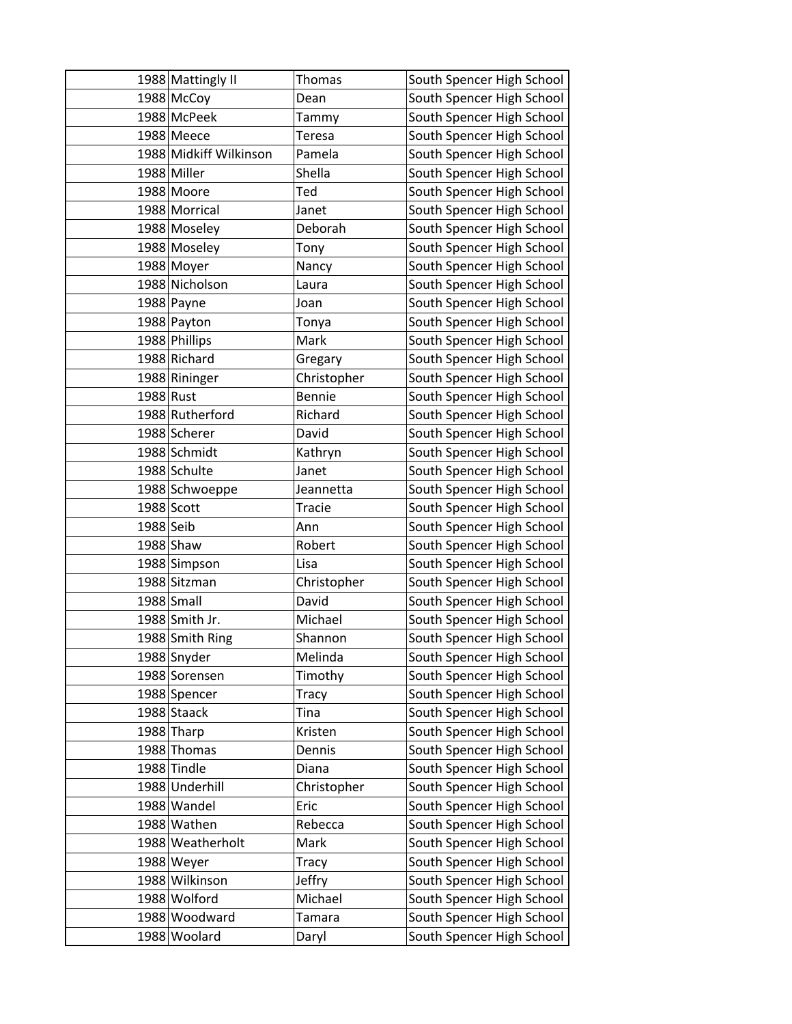|           | 1988 Mattingly II      | Thomas        | South Spencer High School |
|-----------|------------------------|---------------|---------------------------|
|           | 1988 McCoy             | Dean          | South Spencer High School |
|           | 1988 McPeek            | Tammy         | South Spencer High School |
|           | 1988 Meece             | Teresa        | South Spencer High School |
|           | 1988 Midkiff Wilkinson | Pamela        | South Spencer High School |
|           | 1988 Miller            | Shella        | South Spencer High School |
|           | 1988 Moore             | Ted           | South Spencer High School |
|           | 1988 Morrical          | Janet         | South Spencer High School |
|           | 1988 Moseley           | Deborah       | South Spencer High School |
|           | 1988 Moseley           | Tony          | South Spencer High School |
|           | 1988 Moyer             | Nancy         | South Spencer High School |
|           | 1988 Nicholson         | Laura         | South Spencer High School |
|           | 1988 Payne             | Joan          | South Spencer High School |
|           | 1988 Payton            | Tonya         | South Spencer High School |
|           | 1988 Phillips          | Mark          | South Spencer High School |
|           | 1988 Richard           | Gregary       | South Spencer High School |
|           | 1988 Rininger          | Christopher   | South Spencer High School |
| 1988 Rust |                        | <b>Bennie</b> | South Spencer High School |
|           | 1988 Rutherford        | Richard       | South Spencer High School |
|           | 1988 Scherer           | David         | South Spencer High School |
|           | 1988 Schmidt           | Kathryn       | South Spencer High School |
|           | 1988 Schulte           | Janet         | South Spencer High School |
|           | 1988 Schwoeppe         | Jeannetta     | South Spencer High School |
|           | 1988 Scott             | Tracie        | South Spencer High School |
| 1988 Seib |                        | Ann           | South Spencer High School |
|           | 1988 Shaw              | Robert        | South Spencer High School |
|           | 1988 Simpson           | Lisa          | South Spencer High School |
|           | 1988 Sitzman           | Christopher   | South Spencer High School |
|           | 1988 Small             | David         | South Spencer High School |
|           | 1988 Smith Jr.         | Michael       | South Spencer High School |
|           | 1988 Smith Ring        | Shannon       | South Spencer High School |
|           | 1988 Snyder            | Melinda       | South Spencer High School |
|           | 1988 Sorensen          | Timothy       | South Spencer High School |
|           | 1988 Spencer           | Tracy         | South Spencer High School |
|           | 1988 Staack            | Tina          | South Spencer High School |
|           | 1988 Tharp             | Kristen       | South Spencer High School |
|           | 1988 Thomas            | Dennis        | South Spencer High School |
|           | 1988 Tindle            | Diana         | South Spencer High School |
|           | 1988 Underhill         | Christopher   | South Spencer High School |
|           | 1988 Wandel            | Eric          | South Spencer High School |
|           | 1988 Wathen            | Rebecca       | South Spencer High School |
|           | 1988 Weatherholt       | Mark          | South Spencer High School |
|           | 1988 Weyer             | Tracy         | South Spencer High School |
|           | 1988 Wilkinson         | Jeffry        | South Spencer High School |
|           | 1988 Wolford           | Michael       | South Spencer High School |
|           | 1988 Woodward          | Tamara        | South Spencer High School |
|           | 1988 Woolard           | Daryl         | South Spencer High School |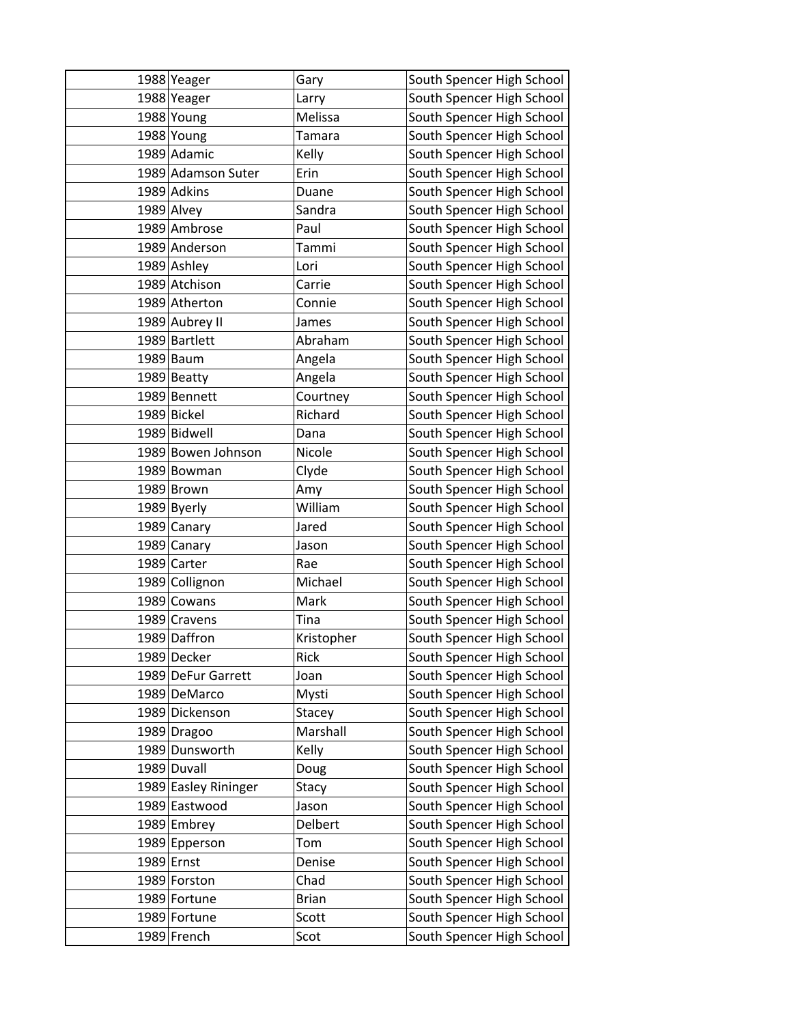| 1988 Yeager          | Gary         | South Spencer High School |
|----------------------|--------------|---------------------------|
| 1988 Yeager          | Larry        | South Spencer High School |
| 1988 Young           | Melissa      | South Spencer High School |
| 1988 Young           | Tamara       | South Spencer High School |
| 1989 Adamic          | Kelly        | South Spencer High School |
| 1989 Adamson Suter   | Erin         | South Spencer High School |
| 1989 Adkins          | Duane        | South Spencer High School |
| 1989 Alvey           | Sandra       | South Spencer High School |
| 1989 Ambrose         | Paul         | South Spencer High School |
| 1989 Anderson        | Tammi        | South Spencer High School |
| 1989 Ashley          | Lori         | South Spencer High School |
| 1989 Atchison        | Carrie       | South Spencer High School |
| 1989 Atherton        | Connie       | South Spencer High School |
| 1989 Aubrey II       | James        | South Spencer High School |
| 1989 Bartlett        | Abraham      | South Spencer High School |
| 1989 Baum            | Angela       | South Spencer High School |
| 1989 Beatty          | Angela       | South Spencer High School |
| 1989 Bennett         | Courtney     | South Spencer High School |
| 1989 Bickel          | Richard      | South Spencer High School |
| 1989 Bidwell         | Dana         | South Spencer High School |
| 1989 Bowen Johnson   | Nicole       | South Spencer High School |
| 1989 Bowman          | Clyde        | South Spencer High School |
| 1989 Brown           | Amy          | South Spencer High School |
| 1989 Byerly          | William      | South Spencer High School |
| 1989 Canary          | Jared        | South Spencer High School |
| 1989 Canary          | Jason        | South Spencer High School |
| 1989 Carter          | Rae          | South Spencer High School |
| 1989 Collignon       | Michael      | South Spencer High School |
| 1989 Cowans          | Mark         | South Spencer High School |
| 1989 Cravens         | Tina         | South Spencer High School |
| 1989 Daffron         | Kristopher   | South Spencer High School |
| 1989 Decker          | <b>Rick</b>  | South Spencer High School |
| 1989 DeFur Garrett   | Joan         | South Spencer High School |
| 1989 DeMarco         | Mysti        | South Spencer High School |
| 1989 Dickenson       | Stacey       | South Spencer High School |
| 1989 Dragoo          | Marshall     | South Spencer High School |
| 1989 Dunsworth       | Kelly        | South Spencer High School |
| 1989 Duvall          | Doug         | South Spencer High School |
| 1989 Easley Rininger | Stacy        | South Spencer High School |
| 1989 Eastwood        | Jason        | South Spencer High School |
| 1989 Embrey          | Delbert      | South Spencer High School |
| 1989 Epperson        | Tom          | South Spencer High School |
| 1989 Ernst           | Denise       | South Spencer High School |
| 1989 Forston         | Chad         | South Spencer High School |
| 1989 Fortune         | <b>Brian</b> | South Spencer High School |
| 1989 Fortune         | Scott        | South Spencer High School |
| 1989 French          | Scot         | South Spencer High School |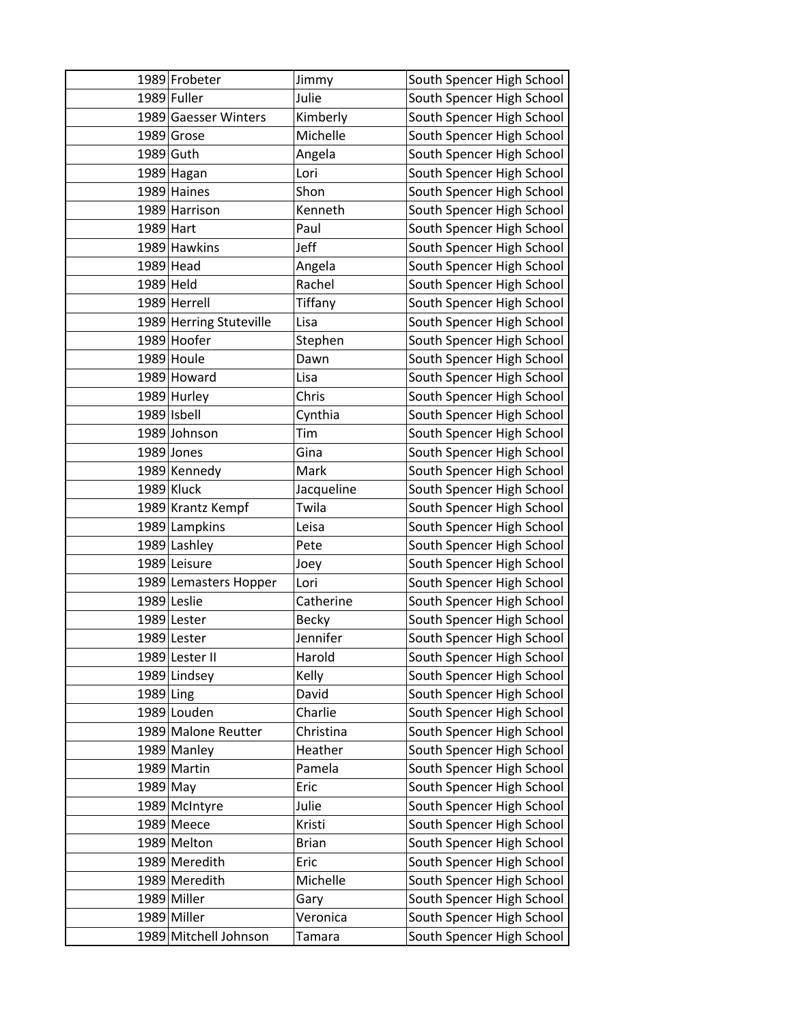|           | 1989 Frobeter           | Jimmy                | South Spencer High School |
|-----------|-------------------------|----------------------|---------------------------|
|           | 1989 Fuller             | Julie                | South Spencer High School |
|           | 1989 Gaesser Winters    | Kimberly             | South Spencer High School |
|           | 1989 Grose              | Michelle             | South Spencer High School |
|           | 1989 Guth               | Angela               | South Spencer High School |
|           | 1989 Hagan              | Lori                 | South Spencer High School |
|           | 1989 Haines             | Shon                 | South Spencer High School |
|           | 1989 Harrison           | Kenneth              | South Spencer High School |
| 1989 Hart |                         | Paul                 | South Spencer High School |
|           | 1989 Hawkins            | Jeff                 | South Spencer High School |
|           | 1989 Head               | Angela               | South Spencer High School |
| 1989 Held |                         | Rachel               | South Spencer High School |
|           | 1989 Herrell            | Tiffany              | South Spencer High School |
|           | 1989 Herring Stuteville | Lisa                 | South Spencer High School |
|           | 1989 Hoofer             | Stephen              | South Spencer High School |
|           | 1989 Houle              | Dawn                 | South Spencer High School |
|           | 1989 Howard             | Lisa                 | South Spencer High School |
|           | 1989 Hurley             | Chris                | South Spencer High School |
|           | 1989 Isbell             | Cynthia              | South Spencer High School |
|           | 1989 Johnson            | Tim                  | South Spencer High School |
|           | 1989 Jones              | Gina                 | South Spencer High School |
|           | 1989 Kennedy            | Mark                 | South Spencer High School |
|           | 1989 Kluck              | Jacqueline           | South Spencer High School |
|           | 1989 Krantz Kempf       | Twila                | South Spencer High School |
|           | 1989 Lampkins           | Leisa                | South Spencer High School |
|           | 1989 Lashley            | Pete                 | South Spencer High School |
|           | 1989 Leisure            | Joey                 | South Spencer High School |
|           | 1989 Lemasters Hopper   | Lori                 | South Spencer High School |
|           | 1989 Leslie             | Catherine            | South Spencer High School |
|           | 1989 Lester             | <b>Becky</b>         | South Spencer High School |
|           | 1989 Lester             | Jennifer             | South Spencer High School |
|           | 1989 Lester II          | Harold               | South Spencer High School |
|           | 1989 Lindsey            | Kelly                | South Spencer High School |
| 1989 Ling |                         | David                | South Spencer High School |
|           | 1989 Louden             | Charlie              | South Spencer High School |
|           | 1989 Malone Reutter     | Christina<br>Heather | South Spencer High School |
|           | 1989 Manley             |                      | South Spencer High School |
|           | 1989 Martin             | Pamela               | South Spencer High School |
| 1989 May  |                         | Eric                 | South Spencer High School |
|           | 1989 McIntyre           | Julie                | South Spencer High School |
|           | 1989 Meece              | Kristi               | South Spencer High School |
|           | 1989 Melton             | <b>Brian</b>         | South Spencer High School |
|           | 1989 Meredith           | Eric                 | South Spencer High School |
|           | 1989 Meredith           | Michelle             | South Spencer High School |
|           | 1989 Miller             | Gary                 | South Spencer High School |
|           | 1989 Miller             | Veronica             | South Spencer High School |
|           | 1989 Mitchell Johnson   | Tamara               | South Spencer High School |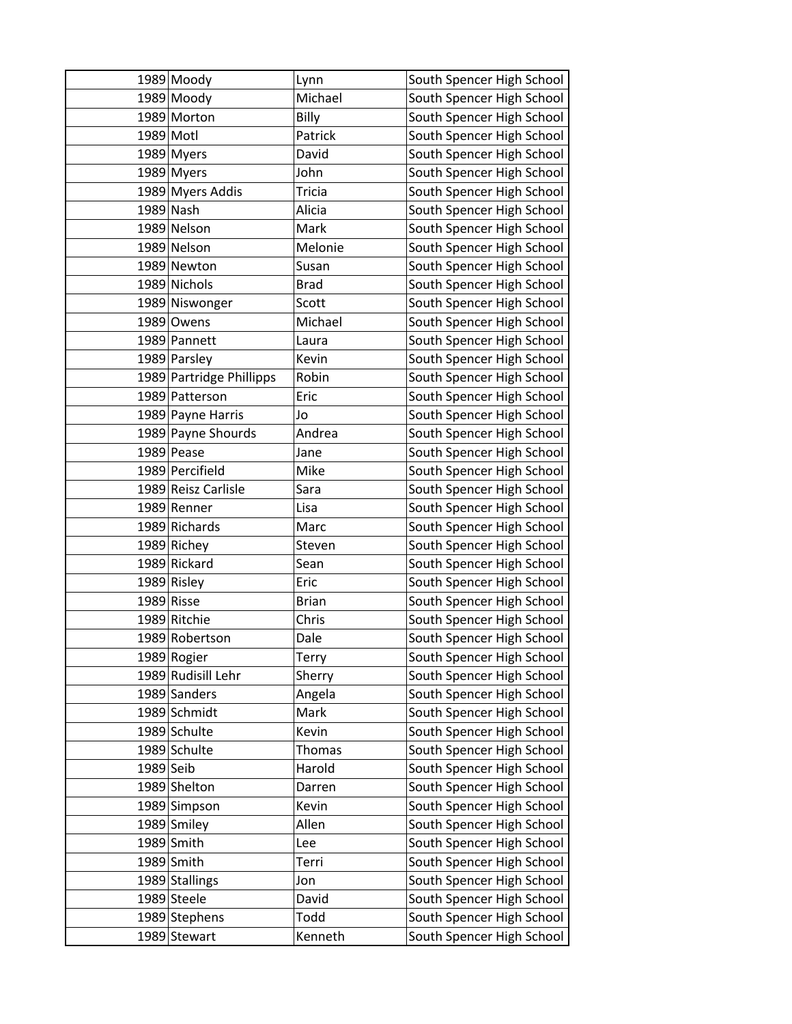|           | 1989 Moody               | Lynn          | South Spencer High School |
|-----------|--------------------------|---------------|---------------------------|
|           | 1989 Moody               | Michael       | South Spencer High School |
|           | 1989 Morton              | Billy         | South Spencer High School |
|           | 1989 Motl                | Patrick       | South Spencer High School |
|           | 1989 Myers               | David         | South Spencer High School |
|           | 1989 Myers               | John          | South Spencer High School |
|           | 1989 Myers Addis         | <b>Tricia</b> | South Spencer High School |
|           | 1989 Nash                | Alicia        | South Spencer High School |
|           | 1989 Nelson              | Mark          | South Spencer High School |
|           | 1989 Nelson              | Melonie       | South Spencer High School |
|           | 1989 Newton              | Susan         | South Spencer High School |
|           | 1989 Nichols             | <b>Brad</b>   | South Spencer High School |
|           | 1989 Niswonger           | Scott         | South Spencer High School |
|           | 1989 Owens               | Michael       | South Spencer High School |
|           | 1989 Pannett             | Laura         | South Spencer High School |
|           | 1989 Parsley             | Kevin         | South Spencer High School |
|           | 1989 Partridge Phillipps | Robin         | South Spencer High School |
|           | 1989 Patterson           | Eric          | South Spencer High School |
|           | 1989 Payne Harris        | Jo            | South Spencer High School |
|           | 1989 Payne Shourds       | Andrea        | South Spencer High School |
|           | 1989 Pease               | Jane          | South Spencer High School |
|           | 1989 Percifield          | Mike          | South Spencer High School |
|           | 1989 Reisz Carlisle      | Sara          | South Spencer High School |
|           | 1989 Renner              | Lisa          | South Spencer High School |
|           | 1989 Richards            | Marc          | South Spencer High School |
|           | 1989 Richey              | Steven        | South Spencer High School |
|           | 1989 Rickard             | Sean          | South Spencer High School |
|           | 1989 Risley              | Eric          | South Spencer High School |
|           | 1989 Risse               | <b>Brian</b>  | South Spencer High School |
|           | 1989 Ritchie             | Chris         | South Spencer High School |
|           | 1989 Robertson           | Dale          | South Spencer High School |
|           | 1989 Rogier              | Terry         | South Spencer High School |
|           | 1989 Rudisill Lehr       | Sherry        | South Spencer High School |
|           | 1989 Sanders             | Angela        | South Spencer High School |
|           | 1989 Schmidt             | Mark          | South Spencer High School |
|           | 1989 Schulte             | Kevin         | South Spencer High School |
|           | 1989 Schulte             | <b>Thomas</b> | South Spencer High School |
| 1989 Seib |                          | Harold        | South Spencer High School |
|           | 1989 Shelton             | Darren        | South Spencer High School |
|           | 1989 Simpson             | Kevin         | South Spencer High School |
|           | 1989 Smiley              | Allen         | South Spencer High School |
|           | 1989 Smith               | Lee           | South Spencer High School |
|           | 1989 Smith               | Terri         | South Spencer High School |
|           | 1989 Stallings           | Jon           | South Spencer High School |
|           | 1989 Steele              | David         | South Spencer High School |
|           | 1989 Stephens            | Todd          | South Spencer High School |
|           | 1989 Stewart             | Kenneth       | South Spencer High School |